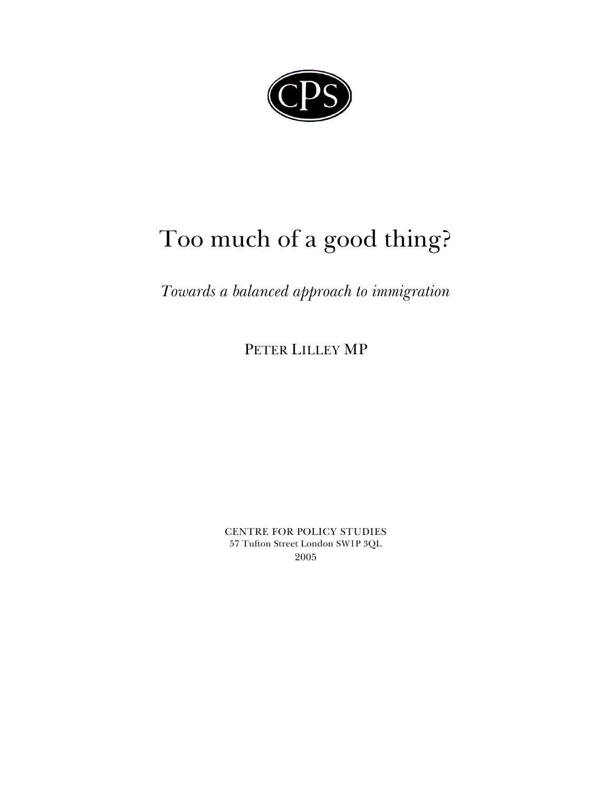

# Too much of a good thing?

# *Towards a balanced approach to immigration*

PETER LILLEY MP

CENTRE FOR POLICY STUDIES 57 Tufton Street London SW1P 3QL 2005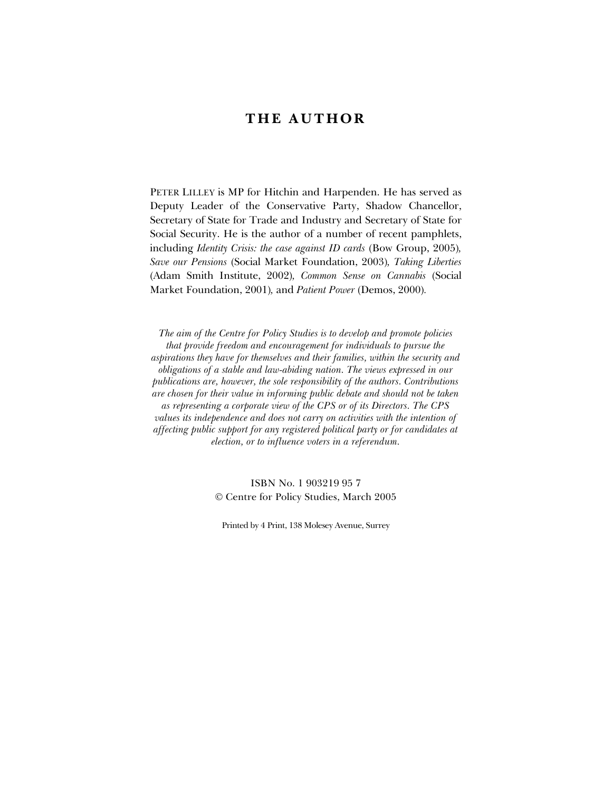# **THE AUTHOR**

PETER LILLEY is MP for Hitchin and Harpenden. He has served as Deputy Leader of the Conservative Party, Shadow Chancellor, Secretary of State for Trade and Industry and Secretary of State for Social Security. He is the author of a number of recent pamphlets, including *Identity Crisis: the case against ID cards* (Bow Group, 2005)*, Save our Pensions* (Social Market Foundation, 2003)*, Taking Liberties* (Adam Smith Institute, 2002)*, Common Sense on Cannabis* (Social Market Foundation, 2001)*,* and *Patient Power* (Demos, 2000)*.*

*The aim of the Centre for Policy Studies is to develop and promote policies that provide freedom and encouragement for individuals to pursue the aspirations they have for themselves and their families, within the security and obligations of a stable and law-abiding nation. The views expressed in our publications are, however, the sole responsibility of the authors. Contributions are chosen for their value in informing public debate and should not be taken as representing a corporate view of the CPS or of its Directors. The CPS values its independence and does not carry on activities with the intention of affecting public support for any registered political party or for candidates at election, or to influence voters in a referendum.*

# ISBN No. 1 903219 95 7 Centre for Policy Studies, March 2005

Printed by 4 Print, 138 Molesey Avenue, Surrey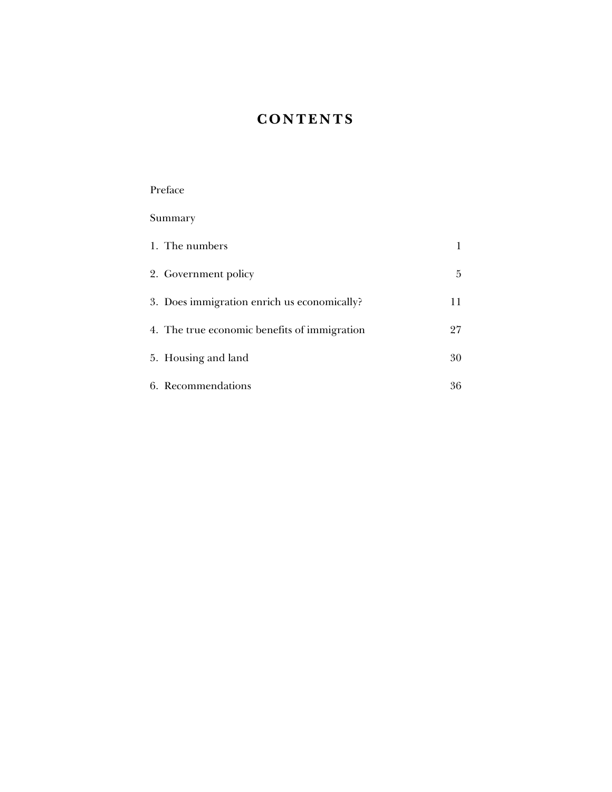# **CONTENTS**

Preface

| Summary                                      |    |
|----------------------------------------------|----|
| 1. The numbers                               | 1  |
| 2. Government policy                         | 5  |
| 3. Does immigration enrich us economically?  | 11 |
| 4. The true economic benefits of immigration | 27 |
| 5. Housing and land                          | 30 |
| 6. Recommendations                           | 36 |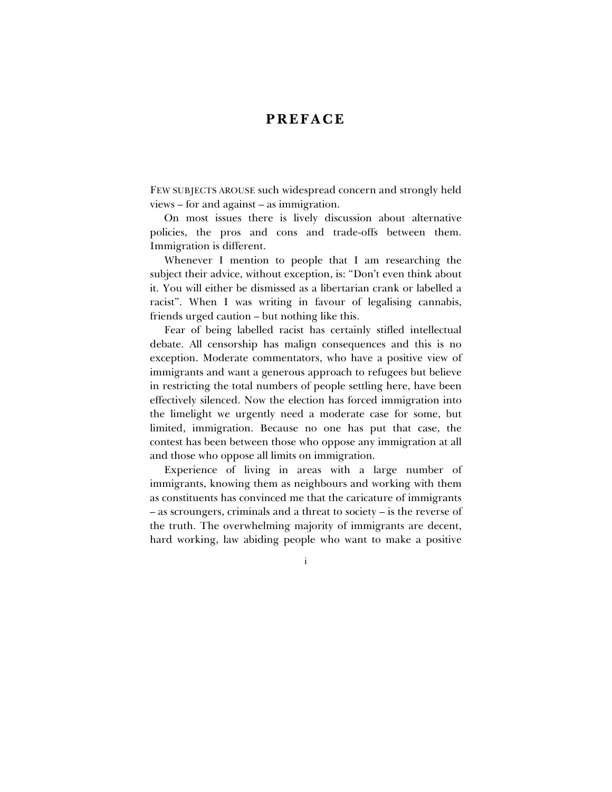# **PREFACE**

FEW SUBJECTS AROUSE such widespread concern and strongly held  $views - for and against - as immigration.$ 

On most issues there is lively discussion about alternative policies, the pros and cons and trade-offs between them. Immigration is different.

Whenever I mention to people that I am researching the subject their advice, without exception, is: "Don't even think about it. You will either be dismissed as a libertarian crank or labelled a racist". When I was writing in favour of legalising cannabis, friends urged caution – but nothing like this.

Fear of being labelled racist has certainly stifled intellectual debate. All censorship has malign consequences and this is no exception. Moderate commentators, who have a positive view of immigrants and want a generous approach to refugees but believe in restricting the total numbers of people settling here, have been effectively silenced. Now the election has forced immigration into the limelight we urgently need a moderate case for some, but limited, immigration. Because no one has put that case, the contest has been between those who oppose any immigration at all and those who oppose all limits on immigration.

Experience of living in areas with a large number of immigrants, knowing them as neighbours and working with them as constituents has convinced me that the caricature of immigrants  $-$  as scroungers, criminals and a threat to society  $-$  is the reverse of the truth. The overwhelming majority of immigrants are decent, hard working, law abiding people who want to make a positive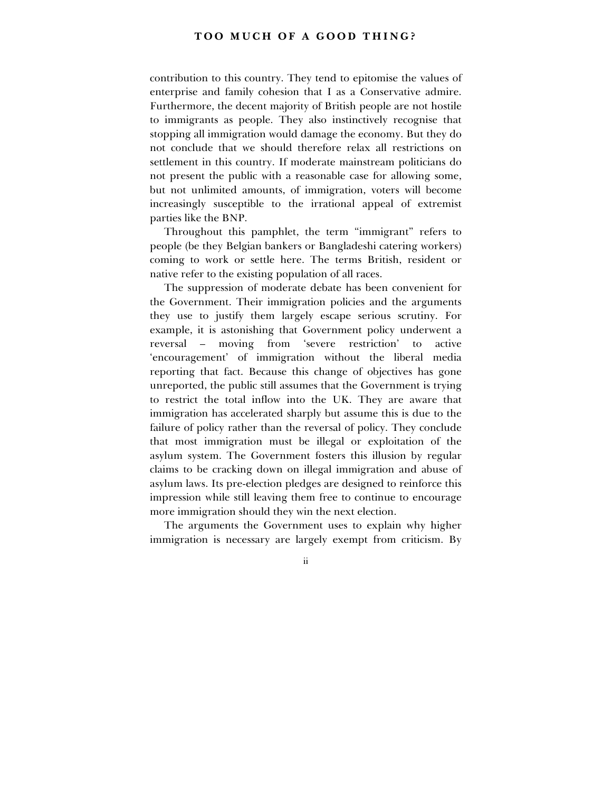contribution to this country. They tend to epitomise the values of enterprise and family cohesion that I as a Conservative admire. Furthermore, the decent majority of British people are not hostile to immigrants as people. They also instinctively recognise that stopping all immigration would damage the economy. But they do not conclude that we should therefore relax all restrictions on settlement in this country. If moderate mainstream politicians do not present the public with a reasonable case for allowing some, but not unlimited amounts, of immigration, voters will become increasingly susceptible to the irrational appeal of extremist parties like the BNP.

Throughout this pamphlet, the term "immigrant" refers to people (be they Belgian bankers or Bangladeshi catering workers) coming to work or settle here. The terms British, resident or native refer to the existing population of all races.

The suppression of moderate debate has been convenient for the Government. Their immigration policies and the arguments they use to justify them largely escape serious scrutiny. For example, it is astonishing that Government policy underwent a reversal – moving from 'severe restriction' to active ëencouragementí of immigration without the liberal media reporting that fact. Because this change of objectives has gone unreported, the public still assumes that the Government is trying to restrict the total inflow into the UK. They are aware that immigration has accelerated sharply but assume this is due to the failure of policy rather than the reversal of policy. They conclude that most immigration must be illegal or exploitation of the asylum system. The Government fosters this illusion by regular claims to be cracking down on illegal immigration and abuse of asylum laws. Its pre-election pledges are designed to reinforce this impression while still leaving them free to continue to encourage more immigration should they win the next election.

The arguments the Government uses to explain why higher immigration is necessary are largely exempt from criticism. By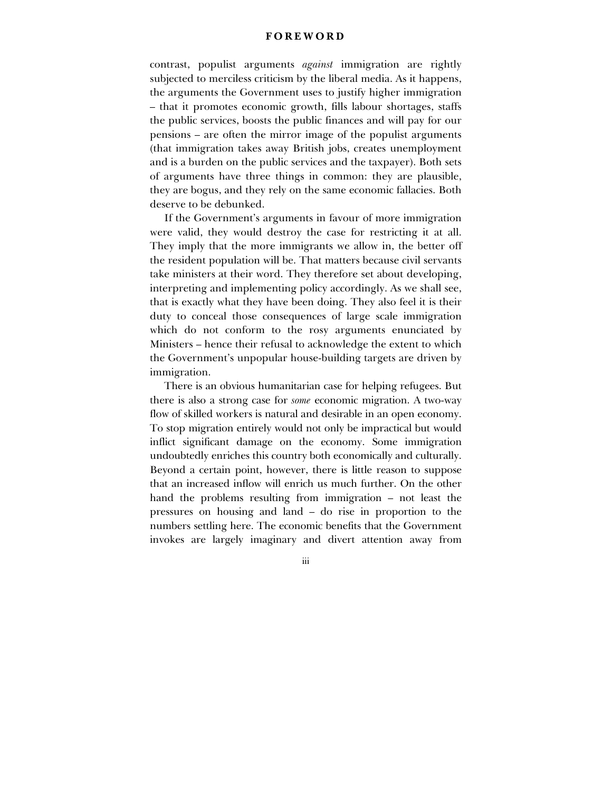### **FOREWORD**

contrast, populist arguments *against* immigration are rightly subjected to merciless criticism by the liberal media. As it happens, the arguments the Government uses to justify higher immigration – that it promotes economic growth, fills labour shortages, staffs the public services, boosts the public finances and will pay for our pensions – are often the mirror image of the populist arguments (that immigration takes away British jobs, creates unemployment and is a burden on the public services and the taxpayer). Both sets of arguments have three things in common: they are plausible, they are bogus, and they rely on the same economic fallacies. Both deserve to be debunked.

If the Government's arguments in favour of more immigration were valid, they would destroy the case for restricting it at all. They imply that the more immigrants we allow in, the better off the resident population will be. That matters because civil servants take ministers at their word. They therefore set about developing, interpreting and implementing policy accordingly. As we shall see, that is exactly what they have been doing. They also feel it is their duty to conceal those consequences of large scale immigration which do not conform to the rosy arguments enunciated by Ministers – hence their refusal to acknowledge the extent to which the Government's unpopular house-building targets are driven by immigration.

There is an obvious humanitarian case for helping refugees. But there is also a strong case for *some* economic migration. A two-way flow of skilled workers is natural and desirable in an open economy. To stop migration entirely would not only be impractical but would inflict significant damage on the economy. Some immigration undoubtedly enriches this country both economically and culturally. Beyond a certain point, however, there is little reason to suppose that an increased inflow will enrich us much further. On the other hand the problems resulting from immigration  $-$  not least the pressures on housing and land  $-$  do rise in proportion to the numbers settling here. The economic benefits that the Government invokes are largely imaginary and divert attention away from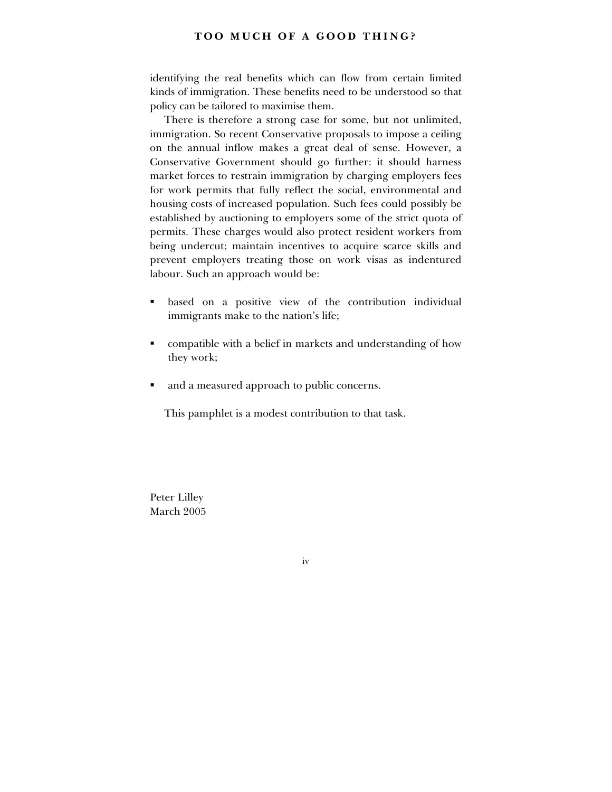identifying the real benefits which can flow from certain limited kinds of immigration. These benefits need to be understood so that policy can be tailored to maximise them.

There is therefore a strong case for some, but not unlimited, immigration. So recent Conservative proposals to impose a ceiling on the annual inflow makes a great deal of sense. However, a Conservative Government should go further: it should harness market forces to restrain immigration by charging employers fees for work permits that fully reflect the social, environmental and housing costs of increased population. Such fees could possibly be established by auctioning to employers some of the strict quota of permits. These charges would also protect resident workers from being undercut; maintain incentives to acquire scarce skills and prevent employers treating those on work visas as indentured labour. Such an approach would be:

- based on a positive view of the contribution individual immigrants make to the nation's life;
- compatible with a belief in markets and understanding of how they work;
- and a measured approach to public concerns.

This pamphlet is a modest contribution to that task.

Peter Lilley March 2005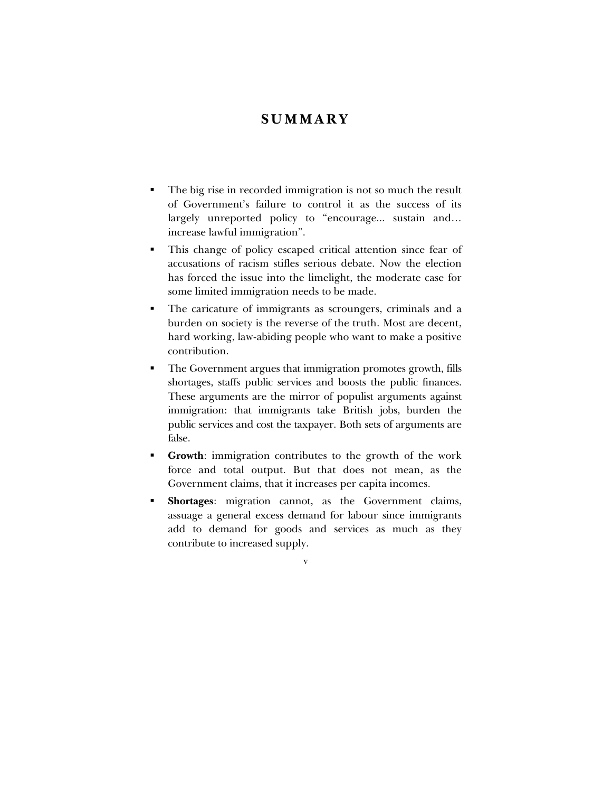# **SUMMARY**

- The big rise in recorded immigration is not so much the result of Governmentís failure to control it as the success of its largely unreported policy to "encourage... sustain and... increase lawful immigration".
- ! This change of policy escaped critical attention since fear of accusations of racism stifles serious debate. Now the election has forced the issue into the limelight, the moderate case for some limited immigration needs to be made.
- ! The caricature of immigrants as scroungers, criminals and a burden on society is the reverse of the truth. Most are decent, hard working, law-abiding people who want to make a positive contribution.
- ! The Government argues that immigration promotes growth, fills shortages, staffs public services and boosts the public finances. These arguments are the mirror of populist arguments against immigration: that immigrants take British jobs, burden the public services and cost the taxpayer. Both sets of arguments are false.
- ! **Growth**: immigration contributes to the growth of the work force and total output. But that does not mean, as the Government claims, that it increases per capita incomes.
- ! **Shortages**: migration cannot, as the Government claims, assuage a general excess demand for labour since immigrants add to demand for goods and services as much as they contribute to increased supply.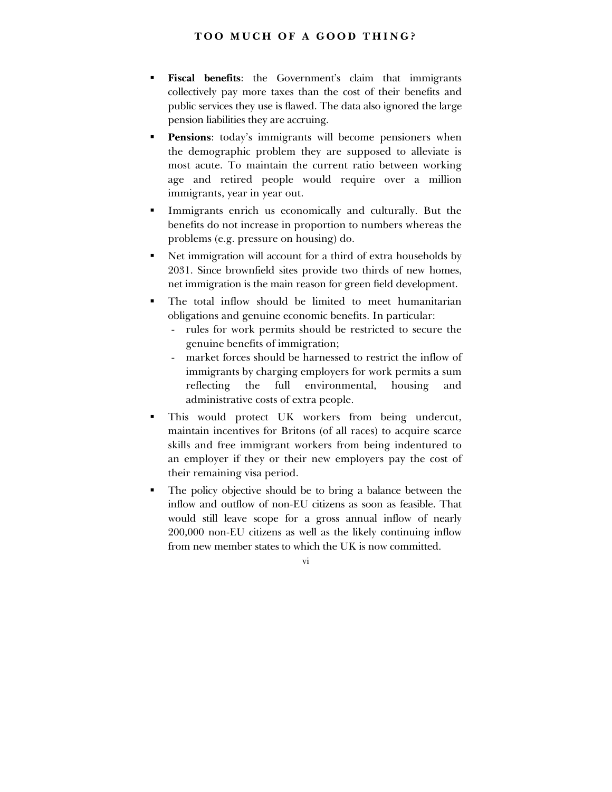- **Fiscal benefits:** the Government's claim that immigrants collectively pay more taxes than the cost of their benefits and public services they use is flawed. The data also ignored the large pension liabilities they are accruing.
- Pensions: today's immigrants will become pensioners when the demographic problem they are supposed to alleviate is most acute. To maintain the current ratio between working age and retired people would require over a million immigrants, year in year out.
- ! Immigrants enrich us economically and culturally. But the benefits do not increase in proportion to numbers whereas the problems (e.g. pressure on housing) do.
- ! Net immigration will account for a third of extra households by 2031. Since brownfield sites provide two thirds of new homes, net immigration is the main reason for green field development.
- The total inflow should be limited to meet humanitarian obligations and genuine economic benefits. In particular:
	- rules for work permits should be restricted to secure the genuine benefits of immigration;
	- market forces should be harnessed to restrict the inflow of immigrants by charging employers for work permits a sum reflecting the full environmental, housing and administrative costs of extra people.
- This would protect UK workers from being undercut, maintain incentives for Britons (of all races) to acquire scarce skills and free immigrant workers from being indentured to an employer if they or their new employers pay the cost of their remaining visa period.
- ! The policy objective should be to bring a balance between the inflow and outflow of non-EU citizens as soon as feasible. That would still leave scope for a gross annual inflow of nearly 200,000 non-EU citizens as well as the likely continuing inflow from new member states to which the UK is now committed.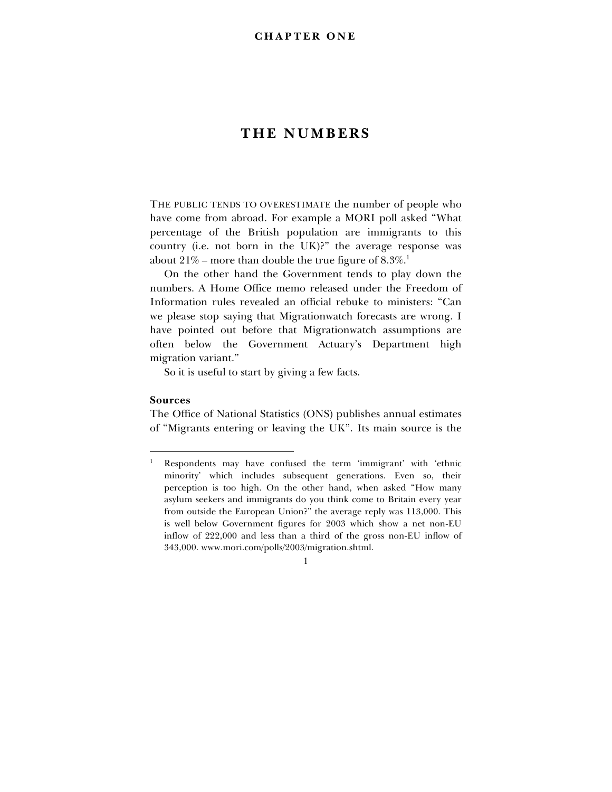# **THE NUMBERS**

THE PUBLIC TENDS TO OVERESTIMATE the number of people who have come from abroad. For example a MORI poll asked "What percentage of the British population are immigrants to this country (i.e. not born in the UK)?" the average response was about  $21\%$  – more than double the true figure of  $8.3\%$ .<sup>1</sup>

On the other hand the Government tends to play down the numbers. A Home Office memo released under the Freedom of Information rules revealed an official rebuke to ministers: "Can we please stop saying that Migrationwatch forecasts are wrong. I have pointed out before that Migrationwatch assumptions are often below the Government Actuaryís Department high migration variant."

So it is useful to start by giving a few facts.

#### **Sources**

-

The Office of National Statistics (ONS) publishes annual estimates of "Migrants entering or leaving the UK". Its main source is the

<sup>1</sup> Respondents may have confused the term 'immigrant' with 'ethnic minorityí which includes subsequent generations. Even so, their perception is too high. On the other hand, when asked "How many asylum seekers and immigrants do you think come to Britain every year from outside the European Union?" the average reply was 113,000. This is well below Government figures for 2003 which show a net non-EU inflow of 222,000 and less than a third of the gross non-EU inflow of 343,000. www.mori.com/polls/2003/migration.shtml.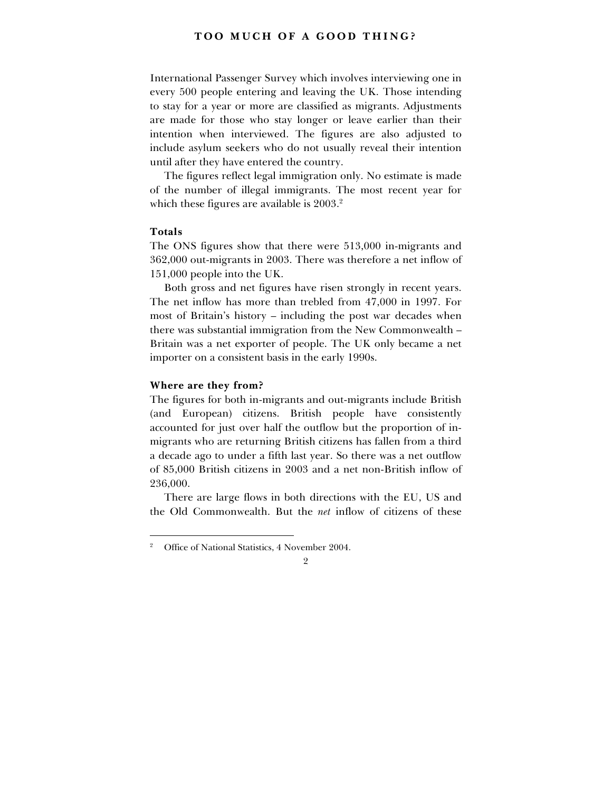International Passenger Survey which involves interviewing one in every 500 people entering and leaving the UK. Those intending to stay for a year or more are classified as migrants. Adjustments are made for those who stay longer or leave earlier than their intention when interviewed. The figures are also adjusted to include asylum seekers who do not usually reveal their intention until after they have entered the country.

The figures reflect legal immigration only. No estimate is made of the number of illegal immigrants. The most recent year for which these figures are available is 2003.<sup>2</sup>

#### **Totals**

-

The ONS figures show that there were 513,000 in-migrants and 362,000 out-migrants in 2003. There was therefore a net inflow of 151,000 people into the UK.

Both gross and net figures have risen strongly in recent years. The net inflow has more than trebled from 47,000 in 1997. For most of Britain's history – including the post war decades when there was substantial immigration from the New Commonwealth  $-$ Britain was a net exporter of people. The UK only became a net importer on a consistent basis in the early 1990s.

### **Where are they from?**

The figures for both in-migrants and out-migrants include British (and European) citizens. British people have consistently accounted for just over half the outflow but the proportion of inmigrants who are returning British citizens has fallen from a third a decade ago to under a fifth last year. So there was a net outflow of 85,000 British citizens in 2003 and a net non-British inflow of 236,000.

There are large flows in both directions with the EU, US and the Old Commonwealth. But the *net* inflow of citizens of these

<sup>2</sup> Office of National Statistics, 4 November 2004.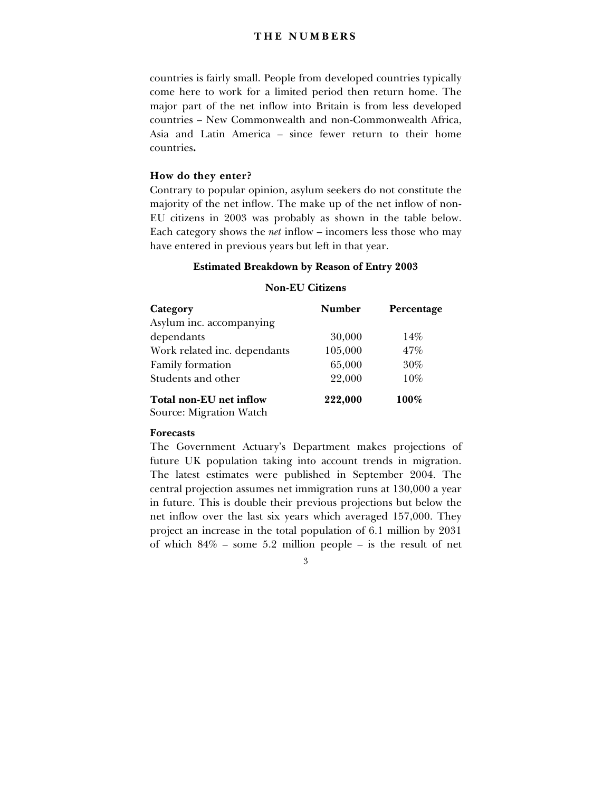# **THE NUMBERS**

countries is fairly small. People from developed countries typically come here to work for a limited period then return home. The major part of the net inflow into Britain is from less developed countries – New Commonwealth and non-Commonwealth Africa, Asia and Latin America  $=$  since fewer return to their home countries**.**

#### **How do they enter?**

Contrary to popular opinion, asylum seekers do not constitute the majority of the net inflow. The make up of the net inflow of non-EU citizens in 2003 was probably as shown in the table below. Each category shows the *net* inflow – incomers less those who may have entered in previous years but left in that year.

### **Estimated Breakdown by Reason of Entry 2003**

#### **Non-EU Citizens**

| Category                     | <b>Number</b> | Percentage |
|------------------------------|---------------|------------|
| Asylum inc. accompanying     |               |            |
| dependants                   | 30,000        | 14%        |
| Work related inc. dependants | 105,000       | 47%        |
| Family formation             | 65,000        | 30%        |
| Students and other           | 22,000        | $10\%$     |
| Total non-EU net inflow      | 222,000       | 100%       |
| Source: Migration Watch      |               |            |

#### **Forecasts**

The Government Actuary's Department makes projections of future UK population taking into account trends in migration. The latest estimates were published in September 2004. The central projection assumes net immigration runs at 130,000 a year in future. This is double their previous projections but below the net inflow over the last six years which averaged 157,000. They project an increase in the total population of 6.1 million by 2031 of which  $84\%$  – some 5.2 million people – is the result of net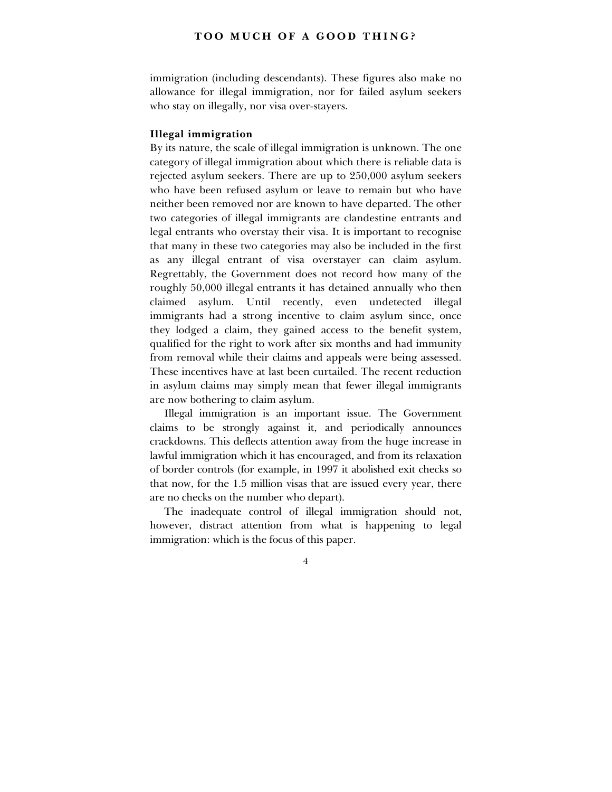immigration (including descendants). These figures also make no allowance for illegal immigration, nor for failed asylum seekers who stay on illegally, nor visa over-stayers.

# **Illegal immigration**

By its nature, the scale of illegal immigration is unknown. The one category of illegal immigration about which there is reliable data is rejected asylum seekers. There are up to 250,000 asylum seekers who have been refused asylum or leave to remain but who have neither been removed nor are known to have departed. The other two categories of illegal immigrants are clandestine entrants and legal entrants who overstay their visa. It is important to recognise that many in these two categories may also be included in the first as any illegal entrant of visa overstayer can claim asylum. Regrettably, the Government does not record how many of the roughly 50,000 illegal entrants it has detained annually who then claimed asylum. Until recently, even undetected illegal immigrants had a strong incentive to claim asylum since, once they lodged a claim, they gained access to the benefit system, qualified for the right to work after six months and had immunity from removal while their claims and appeals were being assessed. These incentives have at last been curtailed. The recent reduction in asylum claims may simply mean that fewer illegal immigrants are now bothering to claim asylum.

Illegal immigration is an important issue. The Government claims to be strongly against it, and periodically announces crackdowns. This deflects attention away from the huge increase in lawful immigration which it has encouraged, and from its relaxation of border controls (for example, in 1997 it abolished exit checks so that now, for the 1.5 million visas that are issued every year, there are no checks on the number who depart).

The inadequate control of illegal immigration should not, however, distract attention from what is happening to legal immigration: which is the focus of this paper.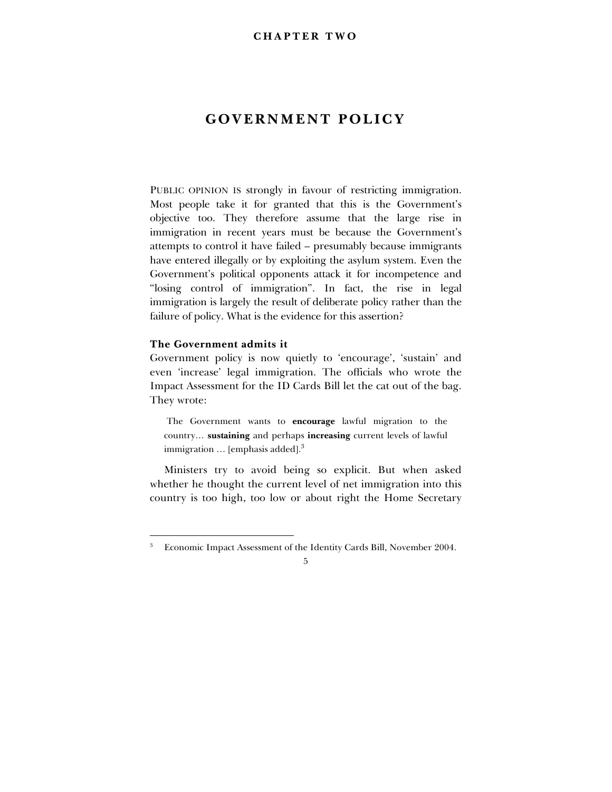# **GOVERNMENT POLICY**

PUBLIC OPINION IS strongly in favour of restricting immigration. Most people take it for granted that this is the Government's objective too. They therefore assume that the large rise in immigration in recent years must be because the Government's attempts to control it have failed – presumably because immigrants have entered illegally or by exploiting the asylum system. Even the Government's political opponents attack it for incompetence and "losing control of immigration". In fact, the rise in legal immigration is largely the result of deliberate policy rather than the failure of policy. What is the evidence for this assertion?

# **The Government admits it**

-

Government policy is now quietly to 'encourage', 'sustain' and even 'increase' legal immigration. The officials who wrote the Impact Assessment for the ID Cards Bill let the cat out of the bag. They wrote:

 The Government wants to **encourage** lawful migration to the country... sustaining and perhaps increasing current levels of lawful immigration  $\ldots$  [emphasis added].<sup>3</sup>

Ministers try to avoid being so explicit. But when asked whether he thought the current level of net immigration into this country is too high, too low or about right the Home Secretary

<sup>3</sup> Economic Impact Assessment of the Identity Cards Bill, November 2004.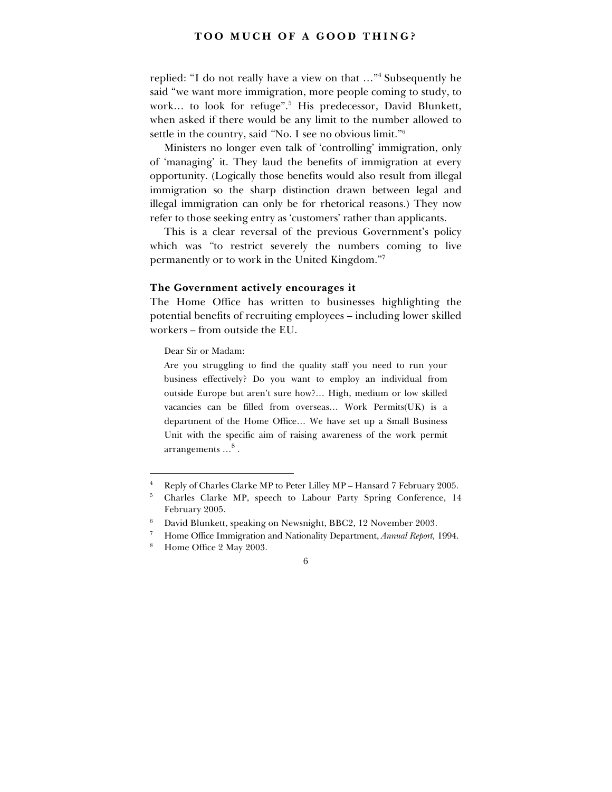replied: "I do not really have a view on that ..."<sup>4</sup> Subsequently he said "we want more immigration, more people coming to study, to work... to look for refuge".<sup>5</sup> His predecessor, David Blunkett, when asked if there would be any limit to the number allowed to settle in the country, said "No. I see no obvious limit."<sup>6</sup>

Ministers no longer even talk of 'controlling' immigration, only of 'managing' it. They laud the benefits of immigration at every opportunity. (Logically those benefits would also result from illegal immigration so the sharp distinction drawn between legal and illegal immigration can only be for rhetorical reasons.) They now refer to those seeking entry as 'customers' rather than applicants.

This is a clear reversal of the previous Government's policy which was "to restrict severely the numbers coming to live permanently or to work in the United Kingdom."<sup>7</sup>

#### **The Government actively encourages it**

The Home Office has written to businesses highlighting the potential benefits of recruiting employees – including lower skilled workers – from outside the EU.

Dear Sir or Madam:

Are you struggling to find the quality staff you need to run your business effectively? Do you want to employ an individual from outside Europe but aren't sure how?... High, medium or low skilled vacancies can be filled from overseas... Work Permits(UK) is a department of the Home Office... We have set up a Small Business Unit with the specific aim of raising awareness of the work permit arrangements  $\ldots^8$  .

<sup>4</sup> Reply of Charles Clarke MP to Peter Lilley MP - Hansard 7 February 2005.

<sup>5</sup> Charles Clarke MP, speech to Labour Party Spring Conference, 14 February 2005.

<sup>6</sup> David Blunkett, speaking on Newsnight, BBC2, 12 November 2003.

<sup>7</sup> Home Office Immigration and Nationality Department, *Annual Report,* 1994.

<sup>8</sup> Home Office 2 May 2003.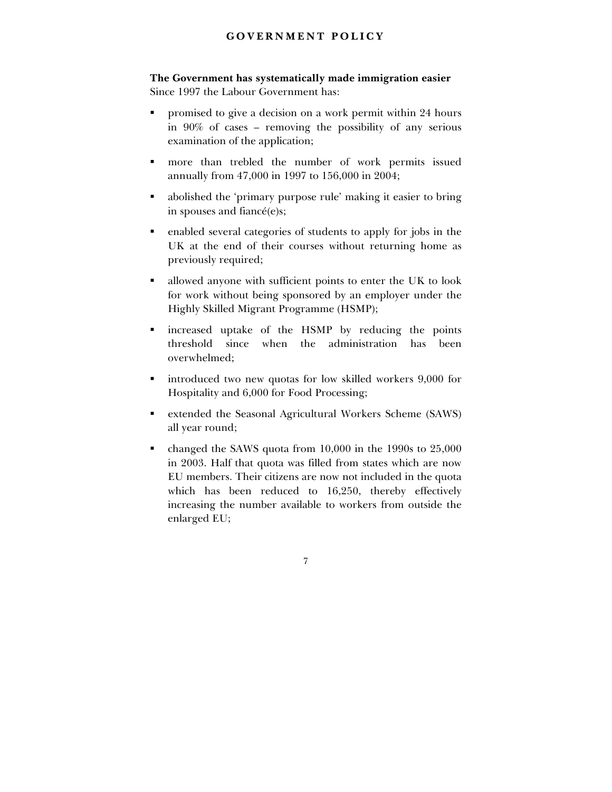# **GOVERNMENT POLICY**

**The Government has systematically made immigration easier** Since 1997 the Labour Government has:

- promised to give a decision on a work permit within 24 hours in  $90\%$  of cases – removing the possibility of any serious examination of the application;
- ! more than trebled the number of work permits issued annually from 47,000 in 1997 to 156,000 in 2004;
- abolished the 'primary purpose rule' making it easier to bring in spouses and fianc $\acute{\text{e}}(e)$ s;
- ! enabled several categories of students to apply for jobs in the UK at the end of their courses without returning home as previously required;
- ! allowed anyone with sufficient points to enter the UK to look for work without being sponsored by an employer under the Highly Skilled Migrant Programme (HSMP);
- ! increased uptake of the HSMP by reducing the points threshold since when the administration has been overwhelmed;
- ! introduced two new quotas for low skilled workers 9,000 for Hospitality and 6,000 for Food Processing;
- ! extended the Seasonal Agricultural Workers Scheme (SAWS) all year round;
- ! changed the SAWS quota from 10,000 in the 1990s to 25,000 in 2003. Half that quota was filled from states which are now EU members. Their citizens are now not included in the quota which has been reduced to 16,250, thereby effectively increasing the number available to workers from outside the enlarged EU;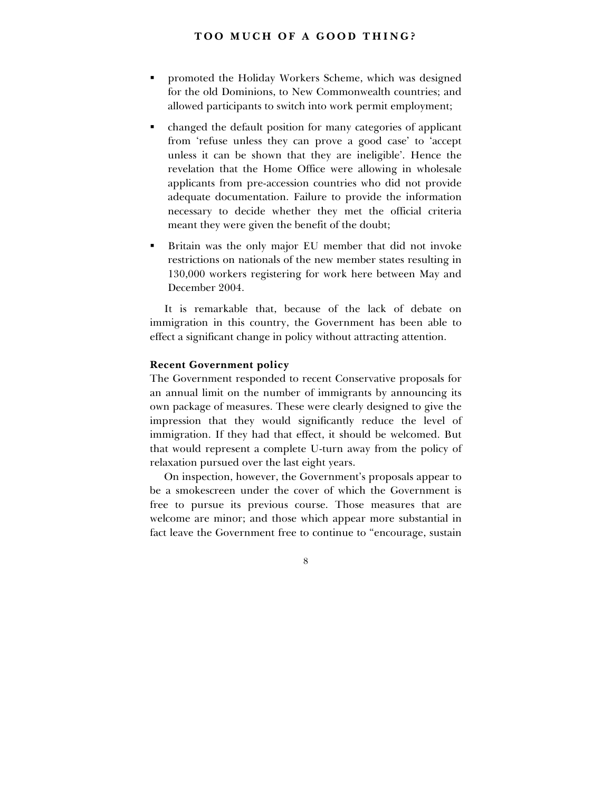- ! promoted the Holiday Workers Scheme, which was designed for the old Dominions, to New Commonwealth countries; and allowed participants to switch into work permit employment;
- ! changed the default position for many categories of applicant from 'refuse unless they can prove a good case' to 'accept unless it can be shown that they are ineligible'. Hence the revelation that the Home Office were allowing in wholesale applicants from pre-accession countries who did not provide adequate documentation. Failure to provide the information necessary to decide whether they met the official criteria meant they were given the benefit of the doubt;
- ! Britain was the only major EU member that did not invoke restrictions on nationals of the new member states resulting in 130,000 workers registering for work here between May and December 2004.

It is remarkable that, because of the lack of debate on immigration in this country, the Government has been able to effect a significant change in policy without attracting attention.

# **Recent Government policy**

The Government responded to recent Conservative proposals for an annual limit on the number of immigrants by announcing its own package of measures. These were clearly designed to give the impression that they would significantly reduce the level of immigration. If they had that effect, it should be welcomed. But that would represent a complete U-turn away from the policy of relaxation pursued over the last eight years.

On inspection, however, the Government's proposals appear to be a smokescreen under the cover of which the Government is free to pursue its previous course. Those measures that are welcome are minor; and those which appear more substantial in fact leave the Government free to continue to "encourage, sustain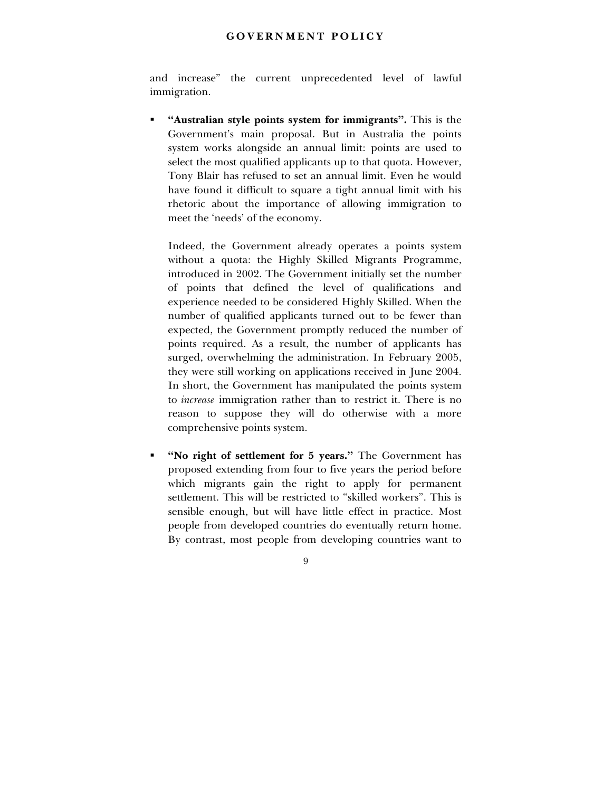# **GOVERNMENT POLICY**

and increase" the current unprecedented level of lawful immigration.

**"Australian style points system for immigrants".** This is the Governmentís main proposal. But in Australia the points system works alongside an annual limit: points are used to select the most qualified applicants up to that quota. However, Tony Blair has refused to set an annual limit. Even he would have found it difficult to square a tight annual limit with his rhetoric about the importance of allowing immigration to meet the 'needs' of the economy.

Indeed, the Government already operates a points system without a quota: the Highly Skilled Migrants Programme, introduced in 2002. The Government initially set the number of points that defined the level of qualifications and experience needed to be considered Highly Skilled. When the number of qualified applicants turned out to be fewer than expected, the Government promptly reduced the number of points required. As a result, the number of applicants has surged, overwhelming the administration. In February 2005, they were still working on applications received in June 2004. In short, the Government has manipulated the points system to *increase* immigration rather than to restrict it. There is no reason to suppose they will do otherwise with a more comprehensive points system.

"No right of settlement for 5 years." The Government has proposed extending from four to five years the period before which migrants gain the right to apply for permanent settlement. This will be restricted to "skilled workers". This is sensible enough, but will have little effect in practice. Most people from developed countries do eventually return home. By contrast, most people from developing countries want to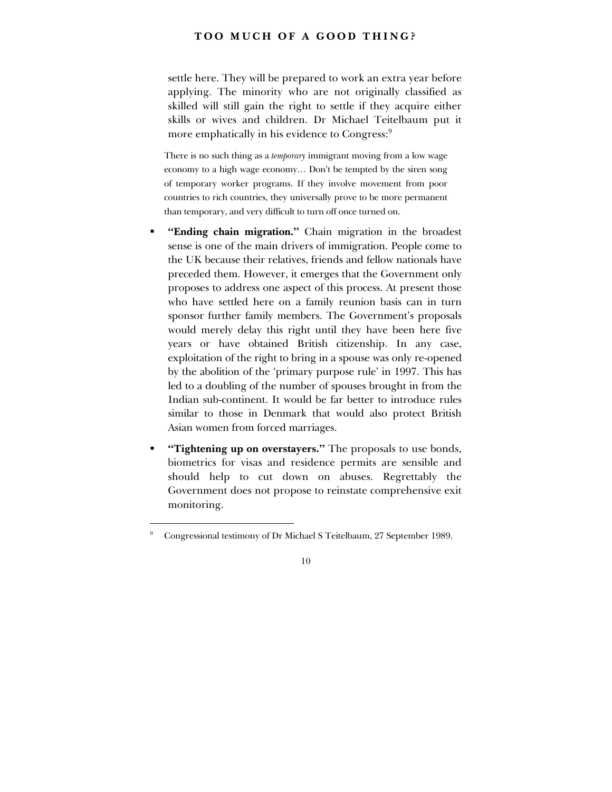settle here. They will be prepared to work an extra year before applying. The minority who are not originally classified as skilled will still gain the right to settle if they acquire either skills or wives and children. Dr Michael Teitelbaum put it more emphatically in his evidence to Congress:<sup>9</sup>

There is no such thing as a *temporary* immigrant moving from a low wage economy to a high wage economy... Don't be tempted by the siren song of temporary worker programs. If they involve movement from poor countries to rich countries, they universally prove to be more permanent than temporary, and very difficult to turn off once turned on.

- "Ending chain migration." Chain migration in the broadest sense is one of the main drivers of immigration. People come to the UK because their relatives, friends and fellow nationals have preceded them. However, it emerges that the Government only proposes to address one aspect of this process. At present those who have settled here on a family reunion basis can in turn sponsor further family members. The Government's proposals would merely delay this right until they have been here five years or have obtained British citizenship. In any case, exploitation of the right to bring in a spouse was only re-opened by the abolition of the 'primary purpose rule' in 1997. This has led to a doubling of the number of spouses brought in from the Indian sub-continent. It would be far better to introduce rules similar to those in Denmark that would also protect British Asian women from forced marriages.
- "Tightening up on overstayers." The proposals to use bonds, biometrics for visas and residence permits are sensible and should help to cut down on abuses. Regrettably the Government does not propose to reinstate comprehensive exit monitoring.

<sup>9</sup> Congressional testimony of Dr Michael S Teitelbaum, 27 September 1989.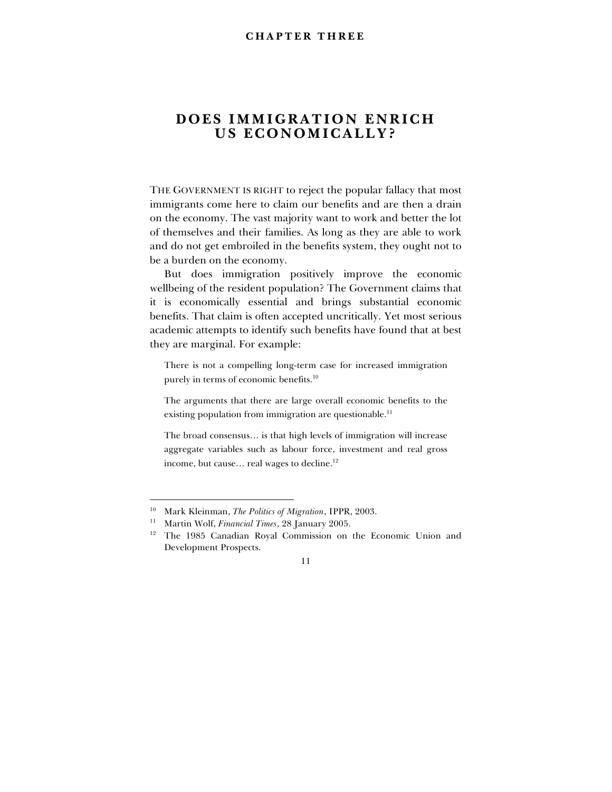# **DOES IMMIGRATION ENRICH US ECONOMICALLY?**

THE GOVERNMENT IS RIGHT to reject the popular fallacy that most immigrants come here to claim our benefits and are then a drain on the economy. The vast majority want to work and better the lot of themselves and their families. As long as they are able to work and do not get embroiled in the benefits system, they ought not to be a burden on the economy.

But does immigration positively improve the economic wellbeing of the resident population? The Government claims that it is economically essential and brings substantial economic benefits. That claim is often accepted uncritically. Yet most serious academic attempts to identify such benefits have found that at best they are marginal. For example:

There is not a compelling long-term case for increased immigration purely in terms of economic benefits.<sup>10</sup>

The arguments that there are large overall economic benefits to the existing population from immigration are questionable.<sup>11</sup>

The broad consensus... is that high levels of immigration will increase aggregate variables such as labour force, investment and real gross income, but cause... real wages to decline.<sup>12</sup>

<sup>10</sup> Mark Kleinman, *The Politics of Migration*, IPPR, 2003.

<sup>11</sup> Martin Wolf, *Financial Times*, 28 January 2005.

<sup>&</sup>lt;sup>12</sup> The 1985 Canadian Royal Commission on the Economic Union and Development Prospects.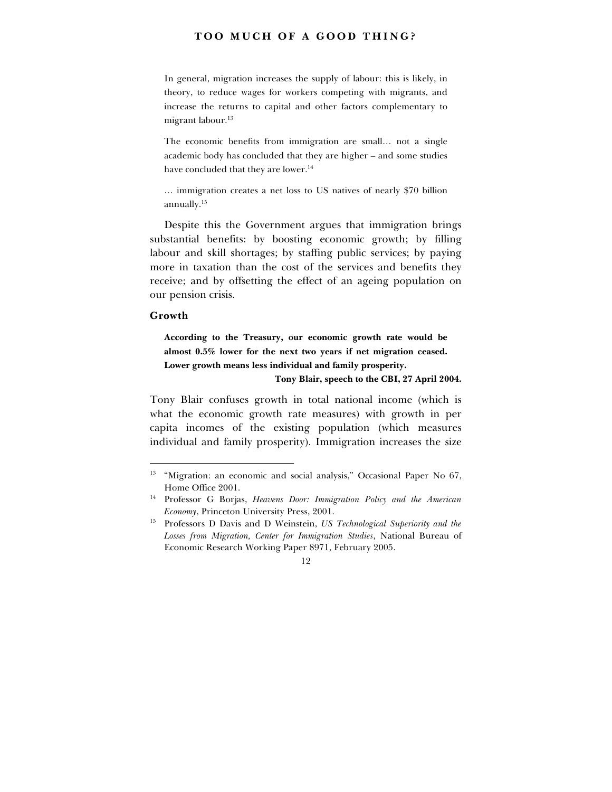In general, migration increases the supply of labour: this is likely, in theory, to reduce wages for workers competing with migrants, and increase the returns to capital and other factors complementary to migrant labour.<sup>13</sup>

The economic benefits from immigration are small... not a single academic body has concluded that they are higher – and some studies have concluded that they are lower.<sup>14</sup>

... immigration creates a net loss to US natives of nearly \$70 billion annually.15

Despite this the Government argues that immigration brings substantial benefits: by boosting economic growth; by filling labour and skill shortages; by staffing public services; by paying more in taxation than the cost of the services and benefits they receive; and by offsetting the effect of an ageing population on our pension crisis.

#### **Growth**

-

**According to the Treasury, our economic growth rate would be almost 0.5% lower for the next two years if net migration ceased. Lower growth means less individual and family prosperity.**

**Tony Blair, speech to the CBI, 27 April 2004.**

Tony Blair confuses growth in total national income (which is what the economic growth rate measures) with growth in per capita incomes of the existing population (which measures individual and family prosperity). Immigration increases the size

<sup>&</sup>lt;sup>13</sup> "Migration: an economic and social analysis," Occasional Paper No 67, Home Office 2001.

<sup>14</sup> Professor G Borjas, *Heavens Door: Immigration Policy and the American Economy*, Princeton University Press, 2001.

<sup>15</sup> Professors D Davis and D Weinstein, *US Technological Superiority and the Losses from Migration, Center for Immigration Studies*, National Bureau of Economic Research Working Paper 8971, February 2005.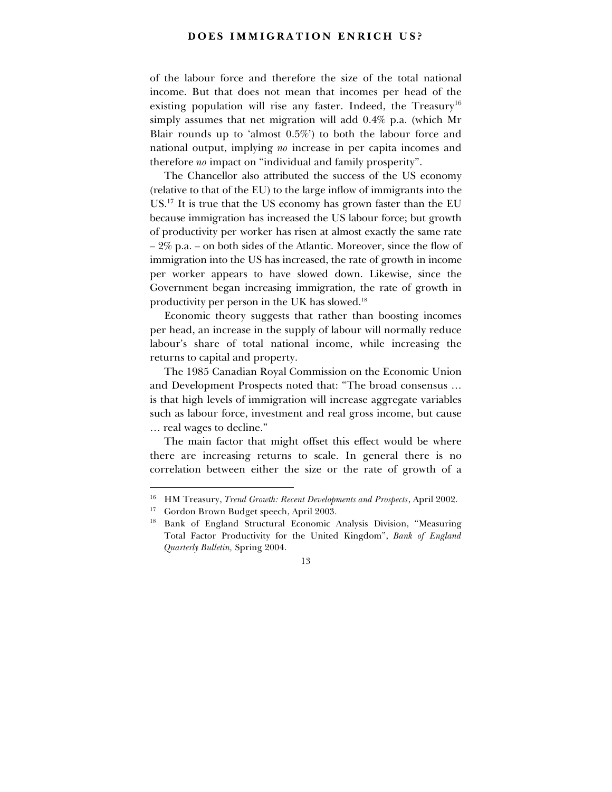### **DOES IMMIGRATION ENRICH US?**

of the labour force and therefore the size of the total national income. But that does not mean that incomes per head of the existing population will rise any faster. Indeed, the Treasury<sup>16</sup> simply assumes that net migration will add 0.4% p.a. (which Mr Blair rounds up to 'almost  $0.5\%$ ' to both the labour force and national output, implying *no* increase in per capita incomes and therefore *no* impact on "individual and family prosperity".

The Chancellor also attributed the success of the US economy (relative to that of the EU) to the large inflow of immigrants into the US.17 It is true that the US economy has grown faster than the EU because immigration has increased the US labour force; but growth of productivity per worker has risen at almost exactly the same rate  $-2\%$  p.a. – on both sides of the Atlantic. Moreover, since the flow of immigration into the US has increased, the rate of growth in income per worker appears to have slowed down. Likewise, since the Government began increasing immigration, the rate of growth in productivity per person in the UK has slowed.18

Economic theory suggests that rather than boosting incomes per head, an increase in the supply of labour will normally reduce labour's share of total national income, while increasing the returns to capital and property.

The 1985 Canadian Royal Commission on the Economic Union and Development Prospects noted that: "The broad consensus ... is that high levels of immigration will increase aggregate variables such as labour force, investment and real gross income, but cause ... real wages to decline."

The main factor that might offset this effect would be where there are increasing returns to scale. In general there is no correlation between either the size or the rate of growth of a

<sup>16</sup> HM Treasury, *Trend Growth: Recent Developments and Prospects*, April 2002.

<sup>&</sup>lt;sup>17</sup> Gordon Brown Budget speech, April 2003.

<sup>&</sup>lt;sup>18</sup> Bank of England Structural Economic Analysis Division, "Measuring Total Factor Productivity for the United Kingdomî, *Bank of England Quarterly Bulletin,* Spring 2004.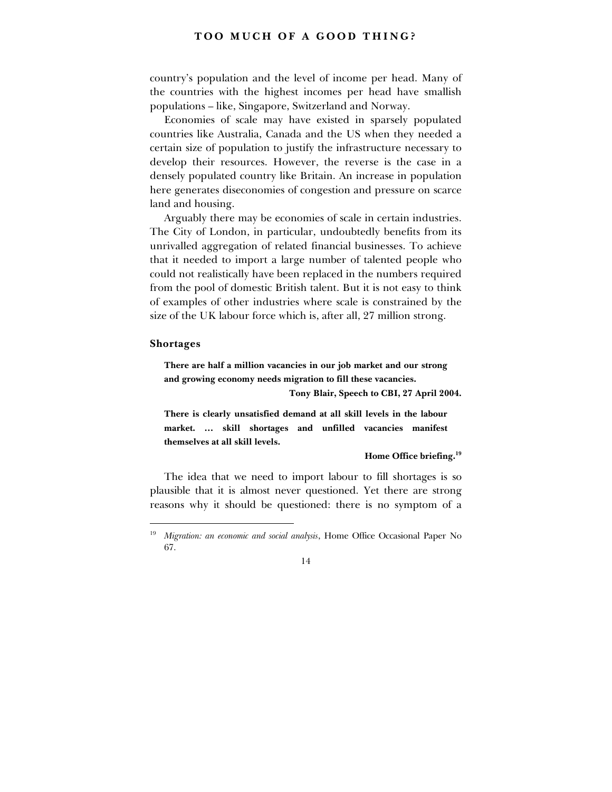countryís population and the level of income per head. Many of the countries with the highest incomes per head have smallish populations – like, Singapore, Switzerland and Norway.

Economies of scale may have existed in sparsely populated countries like Australia, Canada and the US when they needed a certain size of population to justify the infrastructure necessary to develop their resources. However, the reverse is the case in a densely populated country like Britain. An increase in population here generates diseconomies of congestion and pressure on scarce land and housing.

Arguably there may be economies of scale in certain industries. The City of London, in particular, undoubtedly benefits from its unrivalled aggregation of related financial businesses. To achieve that it needed to import a large number of talented people who could not realistically have been replaced in the numbers required from the pool of domestic British talent. But it is not easy to think of examples of other industries where scale is constrained by the size of the UK labour force which is, after all, 27 million strong.

#### **Shortages**

-

**There are half a million vacancies in our job market and our strong and growing economy needs migration to fill these vacancies.**

**Tony Blair, Speech to CBI, 27 April 2004.**

**There is clearly unsatisfied demand at all skill levels in the labour** market. ... skill shortages and unfilled vacancies manifest **themselves at all skill levels.**

**Home Office briefing.19**

The idea that we need to import labour to fill shortages is so plausible that it is almost never questioned. Yet there are strong reasons why it should be questioned: there is no symptom of a

<sup>19</sup> *Migration: an economic and social analysis*, Home Office Occasional Paper No 67.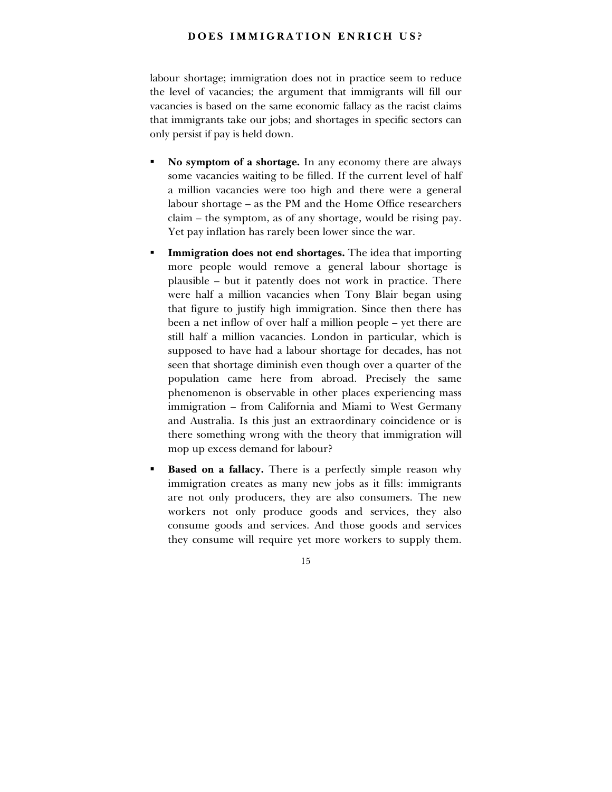# **DOES IMMIGRATION ENRICH US?**

labour shortage; immigration does not in practice seem to reduce the level of vacancies; the argument that immigrants will fill our vacancies is based on the same economic fallacy as the racist claims that immigrants take our jobs; and shortages in specific sectors can only persist if pay is held down.

- ! **No symptom of a shortage.** In any economy there are always some vacancies waiting to be filled. If the current level of half a million vacancies were too high and there were a general labour shortage – as the PM and the Home Office researchers  $claim - the symptom, as of any shortage, would be rising pay.$ Yet pay inflation has rarely been lower since the war.
- **Immigration does not end shortages.** The idea that importing more people would remove a general labour shortage is plausible – but it patently does not work in practice. There were half a million vacancies when Tony Blair began using that figure to justify high immigration. Since then there has been a net inflow of over half a million people – yet there are still half a million vacancies. London in particular, which is supposed to have had a labour shortage for decades, has not seen that shortage diminish even though over a quarter of the population came here from abroad. Precisely the same phenomenon is observable in other places experiencing mass immigration - from California and Miami to West Germany and Australia. Is this just an extraordinary coincidence or is there something wrong with the theory that immigration will mop up excess demand for labour?
- **Based on a fallacy.** There is a perfectly simple reason why immigration creates as many new jobs as it fills: immigrants are not only producers, they are also consumers. The new workers not only produce goods and services, they also consume goods and services. And those goods and services they consume will require yet more workers to supply them.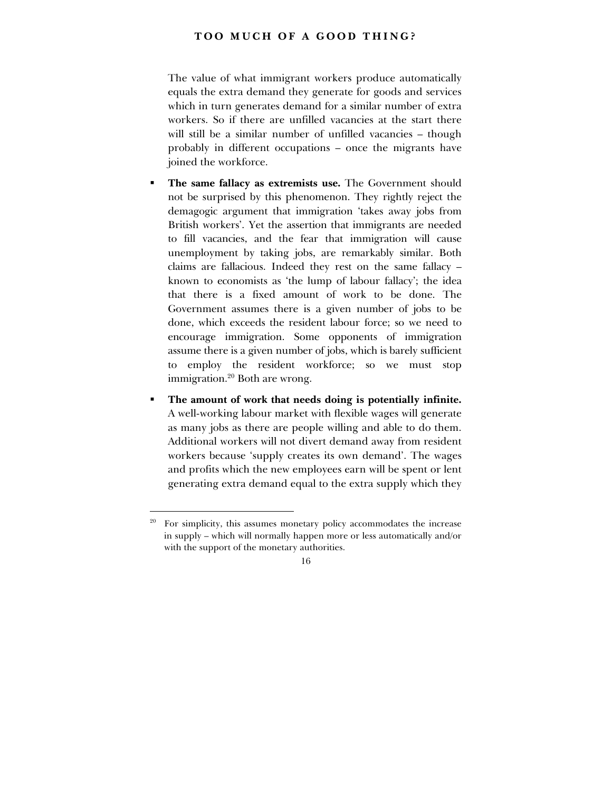The value of what immigrant workers produce automatically equals the extra demand they generate for goods and services which in turn generates demand for a similar number of extra workers. So if there are unfilled vacancies at the start there will still be a similar number of unfilled vacancies – though probably in different occupations – once the migrants have joined the workforce.

- ! **The same fallacy as extremists use.** The Government should not be surprised by this phenomenon. They rightly reject the demagogic argument that immigration ëtakes away jobs from British workers'. Yet the assertion that immigrants are needed to fill vacancies, and the fear that immigration will cause unemployment by taking jobs, are remarkably similar. Both claims are fallacious. Indeed they rest on the same fallacy  $$ known to economists as 'the lump of labour fallacy'; the idea that there is a fixed amount of work to be done. The Government assumes there is a given number of jobs to be done, which exceeds the resident labour force; so we need to encourage immigration. Some opponents of immigration assume there is a given number of jobs, which is barely sufficient to employ the resident workforce; so we must stop immigration.<sup>20</sup> Both are wrong.
- ! **The amount of work that needs doing is potentially infinite.** A well-working labour market with flexible wages will generate as many jobs as there are people willing and able to do them. Additional workers will not divert demand away from resident workers because 'supply creates its own demand'. The wages and profits which the new employees earn will be spent or lent generating extra demand equal to the extra supply which they

<sup>&</sup>lt;sup>20</sup> For simplicity, this assumes monetary policy accommodates the increase in supply – which will normally happen more or less automatically and/or with the support of the monetary authorities.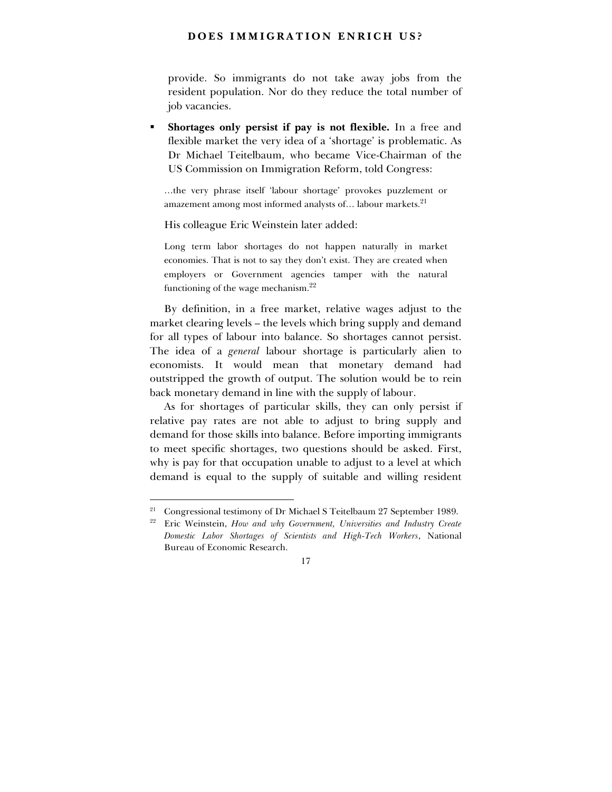# **DOES IMMIGRATION ENRICH US?**

provide. So immigrants do not take away jobs from the resident population. Nor do they reduce the total number of job vacancies.

! **Shortages only persist if pay is not flexible.** In a free and flexible market the very idea of a 'shortage' is problematic. As Dr Michael Teitelbaum, who became Vice-Chairman of the US Commission on Immigration Reform, told Congress:

...the very phrase itself 'labour shortage' provokes puzzlement or amazement among most informed analysts of... labour markets.<sup>21</sup>

His colleague Eric Weinstein later added:

Long term labor shortages do not happen naturally in market economies. That is not to say they don't exist. They are created when employers or Government agencies tamper with the natural functioning of the wage mechanism.22

By definition, in a free market, relative wages adjust to the market clearing levels – the levels which bring supply and demand for all types of labour into balance. So shortages cannot persist. The idea of a *general* labour shortage is particularly alien to economists. It would mean that monetary demand had outstripped the growth of output. The solution would be to rein back monetary demand in line with the supply of labour.

As for shortages of particular skills, they can only persist if relative pay rates are not able to adjust to bring supply and demand for those skills into balance. Before importing immigrants to meet specific shortages, two questions should be asked. First, why is pay for that occupation unable to adjust to a level at which demand is equal to the supply of suitable and willing resident

<sup>&</sup>lt;sup>21</sup> Congressional testimony of Dr Michael S Teitelbaum 27 September 1989.

<sup>22</sup> Eric Weinstein, *How and why Government, Universities and Industry Create Domestic Labor Shortages of Scientists and High-Tech Workers*, National Bureau of Economic Research.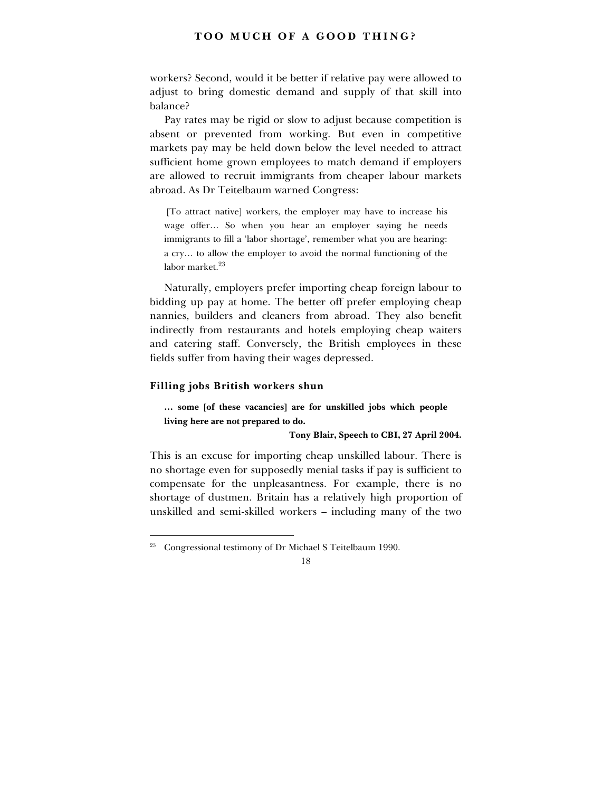workers? Second, would it be better if relative pay were allowed to adjust to bring domestic demand and supply of that skill into balance?

Pay rates may be rigid or slow to adjust because competition is absent or prevented from working. But even in competitive markets pay may be held down below the level needed to attract sufficient home grown employees to match demand if employers are allowed to recruit immigrants from cheaper labour markets abroad. As Dr Teitelbaum warned Congress:

 [To attract native] workers, the employer may have to increase his wage offer... So when you hear an employer saying he needs immigrants to fill a 'labor shortage', remember what you are hearing: a cry... to allow the employer to avoid the normal functioning of the labor market $^{23}$ 

Naturally, employers prefer importing cheap foreign labour to bidding up pay at home. The better off prefer employing cheap nannies, builders and cleaners from abroad. They also benefit indirectly from restaurants and hotels employing cheap waiters and catering staff. Conversely, the British employees in these fields suffer from having their wages depressed.

# **Filling jobs British workers shun**

-

... some [of these vacancies] are for unskilled jobs which people **living here are not prepared to do.**

#### **Tony Blair, Speech to CBI, 27 April 2004.**

This is an excuse for importing cheap unskilled labour. There is no shortage even for supposedly menial tasks if pay is sufficient to compensate for the unpleasantness. For example, there is no shortage of dustmen. Britain has a relatively high proportion of unskilled and semi-skilled workers – including many of the two

<sup>&</sup>lt;sup>23</sup> Congressional testimony of Dr Michael S Teitelbaum 1990.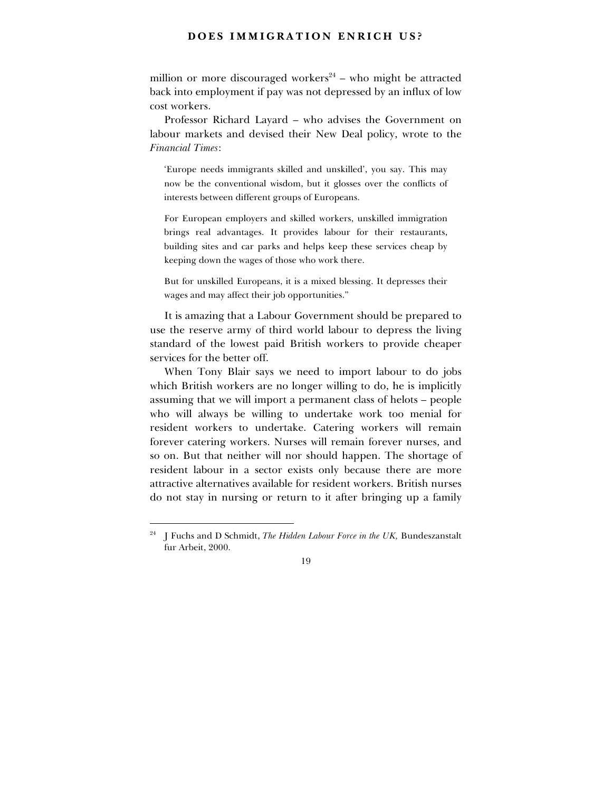# **DOES IMMIGRATION ENRICH US?**

million or more discouraged workers<sup>24</sup> – who might be attracted back into employment if pay was not depressed by an influx of low cost workers.

Professor Richard Layard – who advises the Government on labour markets and devised their New Deal policy, wrote to the *Financial Times*:

Europe needs immigrants skilled and unskilled', you say. This may now be the conventional wisdom, but it glosses over the conflicts of interests between different groups of Europeans.

For European employers and skilled workers, unskilled immigration brings real advantages. It provides labour for their restaurants, building sites and car parks and helps keep these services cheap by keeping down the wages of those who work there.

But for unskilled Europeans, it is a mixed blessing. It depresses their wages and may affect their job opportunities."

It is amazing that a Labour Government should be prepared to use the reserve army of third world labour to depress the living standard of the lowest paid British workers to provide cheaper services for the better off.

When Tony Blair says we need to import labour to do jobs which British workers are no longer willing to do, he is implicitly assuming that we will import a permanent class of helots – people who will always be willing to undertake work too menial for resident workers to undertake. Catering workers will remain forever catering workers. Nurses will remain forever nurses, and so on. But that neither will nor should happen. The shortage of resident labour in a sector exists only because there are more attractive alternatives available for resident workers. British nurses do not stay in nursing or return to it after bringing up a family

<sup>24</sup> J Fuchs and D Schmidt, *The Hidden Labour Force in the UK,* Bundeszanstalt fur Arbeit, 2000.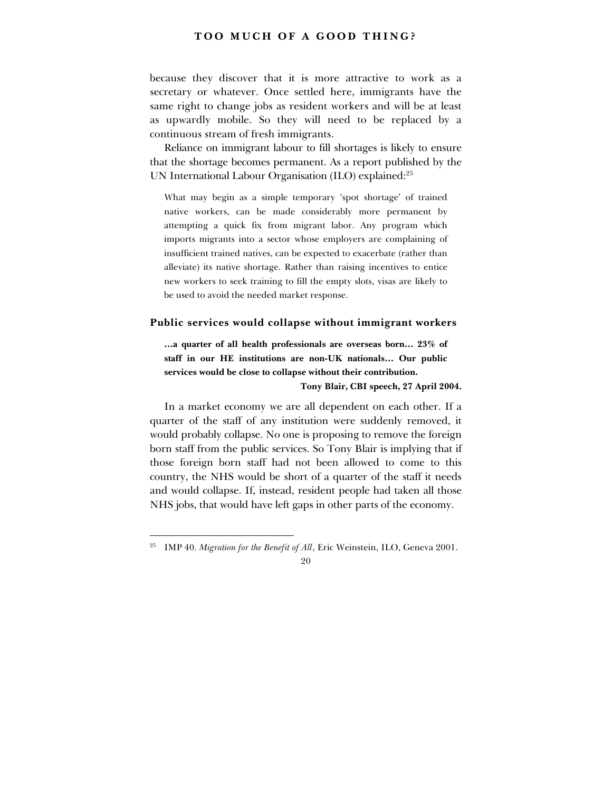because they discover that it is more attractive to work as a secretary or whatever. Once settled here, immigrants have the same right to change jobs as resident workers and will be at least as upwardly mobile. So they will need to be replaced by a continuous stream of fresh immigrants.

Reliance on immigrant labour to fill shortages is likely to ensure that the shortage becomes permanent. As a report published by the UN International Labour Organisation (ILO) explained:<sup>25</sup>

What may begin as a simple temporary 'spot shortage' of trained native workers, can be made considerably more permanent by attempting a quick fix from migrant labor. Any program which imports migrants into a sector whose employers are complaining of insufficient trained natives, can be expected to exacerbate (rather than alleviate) its native shortage. Rather than raising incentives to entice new workers to seek training to fill the empty slots, visas are likely to be used to avoid the needed market response.

#### **Public services would collapse without immigrant workers**

**Example 13 are set of all health professionals are overseas born...** 23% of staff in our HE institutions are non-UK nationals... Our public **services would be close to collapse without their contribution.**

#### **Tony Blair, CBI speech, 27 April 2004.**

In a market economy we are all dependent on each other. If a quarter of the staff of any institution were suddenly removed, it would probably collapse. No one is proposing to remove the foreign born staff from the public services. So Tony Blair is implying that if those foreign born staff had not been allowed to come to this country, the NHS would be short of a quarter of the staff it needs and would collapse. If, instead, resident people had taken all those NHS jobs, that would have left gaps in other parts of the economy.

<sup>&</sup>lt;sup>25</sup> IMP 40. *Migration for the Benefit of All*, Eric Weinstein, ILO, Geneva 2001.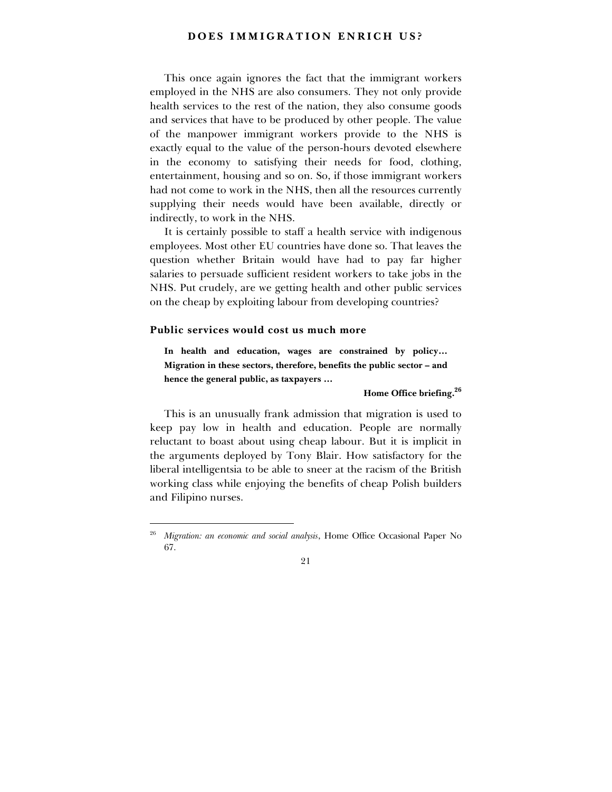# **DOES IMMIGRATION ENRICH US?**

This once again ignores the fact that the immigrant workers employed in the NHS are also consumers. They not only provide health services to the rest of the nation, they also consume goods and services that have to be produced by other people. The value of the manpower immigrant workers provide to the NHS is exactly equal to the value of the person-hours devoted elsewhere in the economy to satisfying their needs for food, clothing, entertainment, housing and so on. So, if those immigrant workers had not come to work in the NHS, then all the resources currently supplying their needs would have been available, directly or indirectly, to work in the NHS.

It is certainly possible to staff a health service with indigenous employees. Most other EU countries have done so. That leaves the question whether Britain would have had to pay far higher salaries to persuade sufficient resident workers to take jobs in the NHS. Put crudely, are we getting health and other public services on the cheap by exploiting labour from developing countries?

#### **Public services would cost us much more**

-

In health and education, wages are constrained by policy... Migration in these sectors, therefore, benefits the public sector - and hence the general public, as taxpayers ...

#### **Home Office briefing.<sup>26</sup>**

This is an unusually frank admission that migration is used to keep pay low in health and education. People are normally reluctant to boast about using cheap labour. But it is implicit in the arguments deployed by Tony Blair. How satisfactory for the liberal intelligentsia to be able to sneer at the racism of the British working class while enjoying the benefits of cheap Polish builders and Filipino nurses.

<sup>26</sup> *Migration: an economic and social analysis*, Home Office Occasional Paper No 67.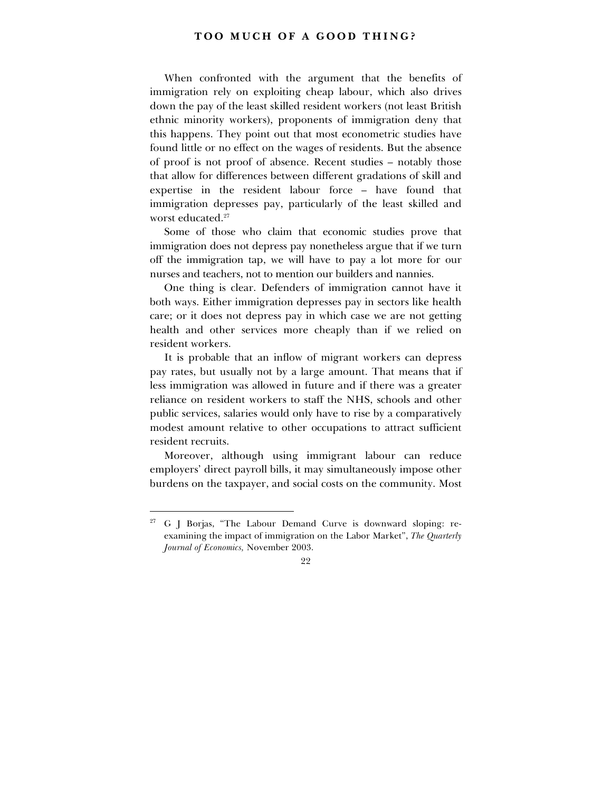When confronted with the argument that the benefits of immigration rely on exploiting cheap labour, which also drives down the pay of the least skilled resident workers (not least British ethnic minority workers), proponents of immigration deny that this happens. They point out that most econometric studies have found little or no effect on the wages of residents. But the absence of proof is not proof of absence. Recent studies – notably those that allow for differences between different gradations of skill and expertise in the resident labour force - have found that immigration depresses pay, particularly of the least skilled and worst educated.<sup>27</sup>

Some of those who claim that economic studies prove that immigration does not depress pay nonetheless argue that if we turn off the immigration tap, we will have to pay a lot more for our nurses and teachers, not to mention our builders and nannies.

One thing is clear. Defenders of immigration cannot have it both ways. Either immigration depresses pay in sectors like health care; or it does not depress pay in which case we are not getting health and other services more cheaply than if we relied on resident workers.

It is probable that an inflow of migrant workers can depress pay rates, but usually not by a large amount. That means that if less immigration was allowed in future and if there was a greater reliance on resident workers to staff the NHS, schools and other public services, salaries would only have to rise by a comparatively modest amount relative to other occupations to attract sufficient resident recruits.

Moreover, although using immigrant labour can reduce employersí direct payroll bills, it may simultaneously impose other burdens on the taxpayer, and social costs on the community. Most

<sup>&</sup>lt;sup>27</sup> G J Borjas, "The Labour Demand Curve is downward sloping: reexamining the impact of immigration on the Labor Market", *The Quarterly Journal of Economics,* November 2003.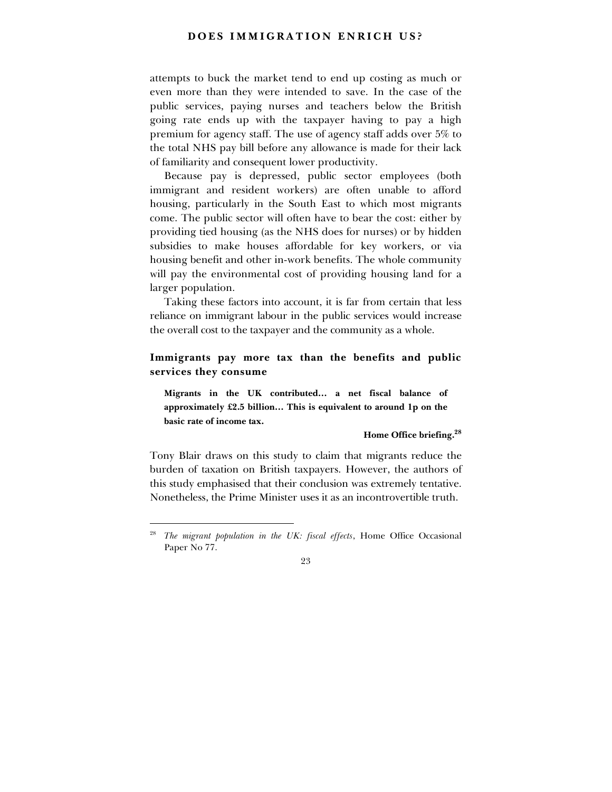attempts to buck the market tend to end up costing as much or even more than they were intended to save. In the case of the public services, paying nurses and teachers below the British going rate ends up with the taxpayer having to pay a high premium for agency staff. The use of agency staff adds over 5% to the total NHS pay bill before any allowance is made for their lack of familiarity and consequent lower productivity.

Because pay is depressed, public sector employees (both immigrant and resident workers) are often unable to afford housing, particularly in the South East to which most migrants come. The public sector will often have to bear the cost: either by providing tied housing (as the NHS does for nurses) or by hidden subsidies to make houses affordable for key workers, or via housing benefit and other in-work benefits. The whole community will pay the environmental cost of providing housing land for a larger population.

Taking these factors into account, it is far from certain that less reliance on immigrant labour in the public services would increase the overall cost to the taxpayer and the community as a whole.

# **Immigrants pay more tax than the benefits and public services they consume**

Migrants in the UK contributed... a net fiscal balance of approximately £2.5 billion... This is equivalent to around 1p on the **basic rate of income tax.**

#### **Home Office briefing.<sup>28</sup>**

Tony Blair draws on this study to claim that migrants reduce the burden of taxation on British taxpayers. However, the authors of this study emphasised that their conclusion was extremely tentative. Nonetheless, the Prime Minister uses it as an incontrovertible truth.

<sup>28</sup> *The migrant population in the UK: fiscal effects*, Home Office Occasional Paper No 77.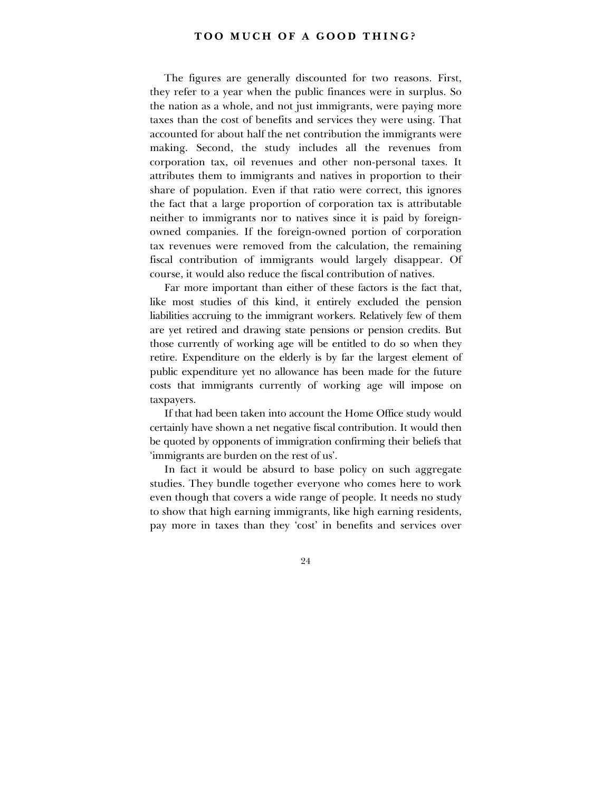The figures are generally discounted for two reasons. First, they refer to a year when the public finances were in surplus. So the nation as a whole, and not just immigrants, were paying more taxes than the cost of benefits and services they were using. That accounted for about half the net contribution the immigrants were making. Second, the study includes all the revenues from corporation tax, oil revenues and other non-personal taxes. It attributes them to immigrants and natives in proportion to their share of population. Even if that ratio were correct, this ignores the fact that a large proportion of corporation tax is attributable neither to immigrants nor to natives since it is paid by foreignowned companies. If the foreign-owned portion of corporation tax revenues were removed from the calculation, the remaining fiscal contribution of immigrants would largely disappear. Of course, it would also reduce the fiscal contribution of natives.

Far more important than either of these factors is the fact that, like most studies of this kind, it entirely excluded the pension liabilities accruing to the immigrant workers. Relatively few of them are yet retired and drawing state pensions or pension credits. But those currently of working age will be entitled to do so when they retire. Expenditure on the elderly is by far the largest element of public expenditure yet no allowance has been made for the future costs that immigrants currently of working age will impose on taxpayers.

If that had been taken into account the Home Office study would certainly have shown a net negative fiscal contribution. It would then be quoted by opponents of immigration confirming their beliefs that 'immigrants are burden on the rest of us'.

In fact it would be absurd to base policy on such aggregate studies. They bundle together everyone who comes here to work even though that covers a wide range of people. It needs no study to show that high earning immigrants, like high earning residents, pay more in taxes than they 'cost' in benefits and services over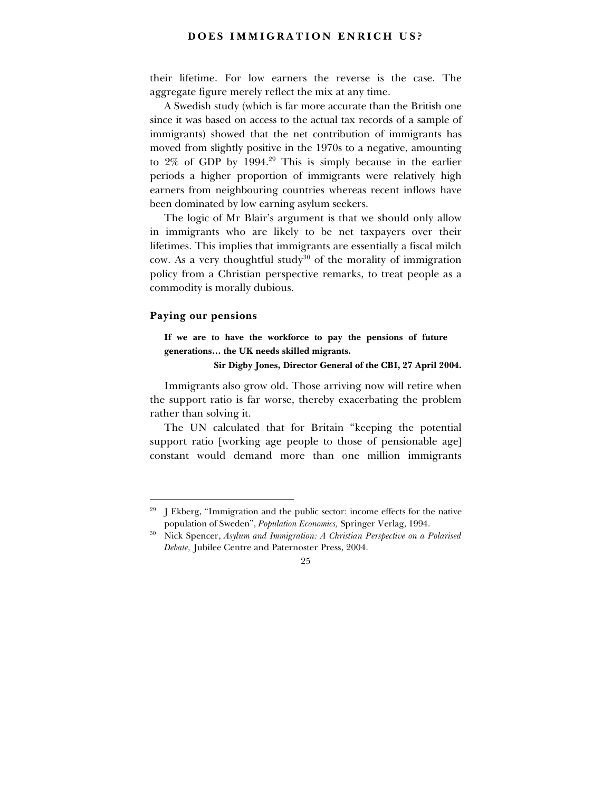### **DOES IMMIGRATION ENRICH US?**

their lifetime. For low earners the reverse is the case. The aggregate figure merely reflect the mix at any time.

A Swedish study (which is far more accurate than the British one since it was based on access to the actual tax records of a sample of immigrants) showed that the net contribution of immigrants has moved from slightly positive in the 1970s to a negative, amounting to  $2\%$  of GDP by 1994.<sup>29</sup> This is simply because in the earlier periods a higher proportion of immigrants were relatively high earners from neighbouring countries whereas recent inflows have been dominated by low earning asylum seekers.

The logic of Mr Blair's argument is that we should only allow in immigrants who are likely to be net taxpayers over their lifetimes. This implies that immigrants are essentially a fiscal milch cow. As a very thoughtful study<sup>30</sup> of the morality of immigration policy from a Christian perspective remarks, to treat people as a commodity is morally dubious.

#### **Paying our pensions**

-

**If we are to have the workforce to pay the pensions of future** generations... the UK needs skilled migrants.

**Sir Digby Jones, Director General of the CBI, 27 April 2004.**

Immigrants also grow old. Those arriving now will retire when the support ratio is far worse, thereby exacerbating the problem rather than solving it.

The UN calculated that for Britain "keeping the potential support ratio [working age people to those of pensionable age] constant would demand more than one million immigrants

 $29$  J Ekberg, "Immigration and the public sector: income effects for the native population of Swedenî, *Population Economics,* Springer Verlag, 1994.

<sup>30</sup> Nick Spencer, *Asylum and Immigration: A Christian Perspective on a Polarised Debate,* Jubilee Centre and Paternoster Press, 2004.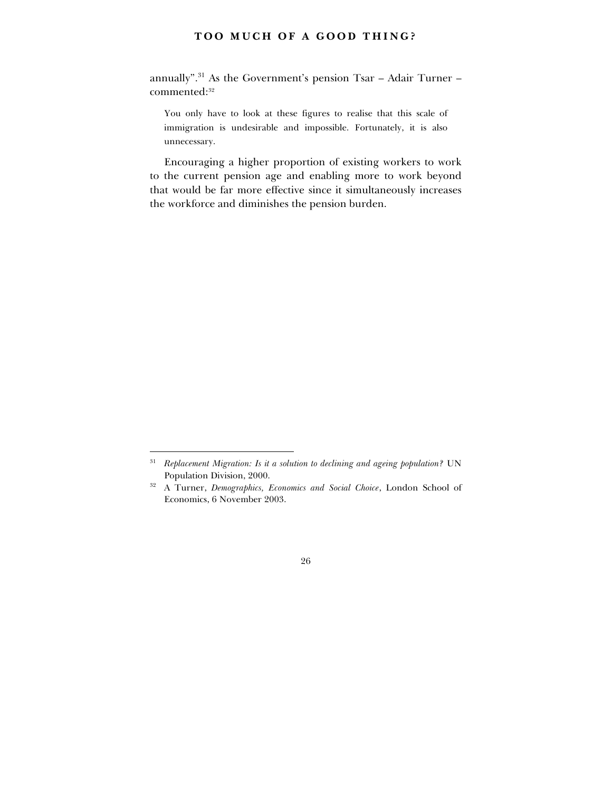annually". $31$  As the Government's pension Tsar - Adair Turner commented:<sup>32</sup>

You only have to look at these figures to realise that this scale of immigration is undesirable and impossible. Fortunately, it is also unnecessary.

Encouraging a higher proportion of existing workers to work to the current pension age and enabling more to work beyond that would be far more effective since it simultaneously increases the workforce and diminishes the pension burden.

<sup>31</sup> *Replacement Migration: Is it a solution to declining and ageing population?* UN Population Division, 2000.

<sup>32</sup> A Turner, *Demographics, Economics and Social Choice*, London School of Economics, 6 November 2003.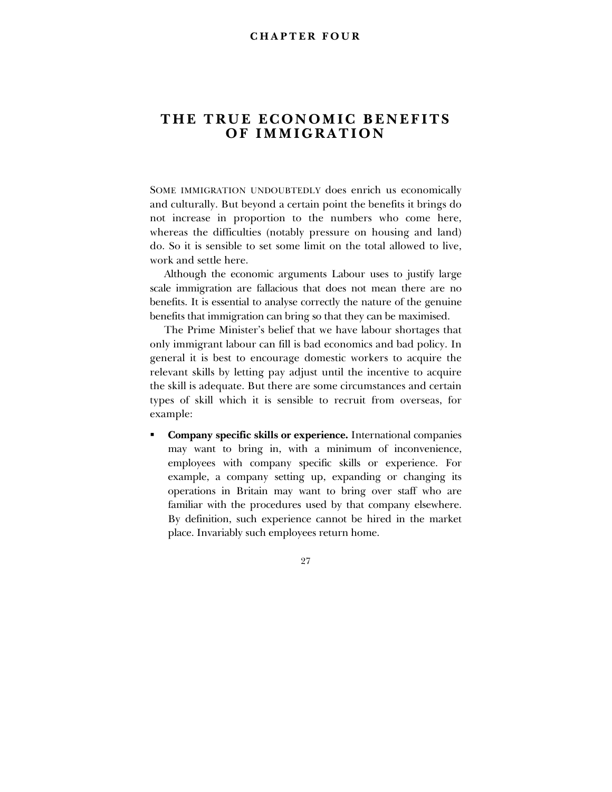# **THE TRUE ECONOMIC BENEFITS OF IMMIGRATION**

SOME IMMIGRATION UNDOUBTEDLY does enrich us economically and culturally. But beyond a certain point the benefits it brings do not increase in proportion to the numbers who come here, whereas the difficulties (notably pressure on housing and land) do. So it is sensible to set some limit on the total allowed to live, work and settle here.

Although the economic arguments Labour uses to justify large scale immigration are fallacious that does not mean there are no benefits. It is essential to analyse correctly the nature of the genuine benefits that immigration can bring so that they can be maximised.

The Prime Minister's belief that we have labour shortages that only immigrant labour can fill is bad economics and bad policy. In general it is best to encourage domestic workers to acquire the relevant skills by letting pay adjust until the incentive to acquire the skill is adequate. But there are some circumstances and certain types of skill which it is sensible to recruit from overseas, for example:

! **Company specific skills or experience.** International companies may want to bring in, with a minimum of inconvenience, employees with company specific skills or experience. For example, a company setting up, expanding or changing its operations in Britain may want to bring over staff who are familiar with the procedures used by that company elsewhere. By definition, such experience cannot be hired in the market place. Invariably such employees return home.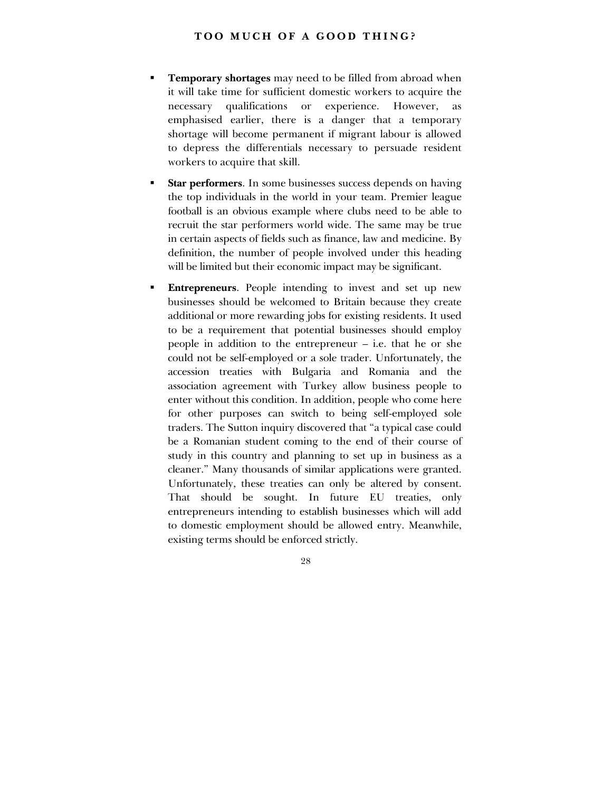- ! **Temporary shortages** may need to be filled from abroad when it will take time for sufficient domestic workers to acquire the necessary qualifications or experience. However, as emphasised earlier, there is a danger that a temporary shortage will become permanent if migrant labour is allowed to depress the differentials necessary to persuade resident workers to acquire that skill.
- **Star performers**. In some businesses success depends on having the top individuals in the world in your team. Premier league football is an obvious example where clubs need to be able to recruit the star performers world wide. The same may be true in certain aspects of fields such as finance, law and medicine. By definition, the number of people involved under this heading will be limited but their economic impact may be significant.
- **Entrepreneurs**. People intending to invest and set up new businesses should be welcomed to Britain because they create additional or more rewarding jobs for existing residents. It used to be a requirement that potential businesses should employ people in addition to the entrepreneur  $-$  i.e. that he or she could not be self-employed or a sole trader. Unfortunately, the accession treaties with Bulgaria and Romania and the association agreement with Turkey allow business people to enter without this condition. In addition, people who come here for other purposes can switch to being self-employed sole traders. The Sutton inquiry discovered that "a typical case could be a Romanian student coming to the end of their course of study in this country and planning to set up in business as a cleaner." Many thousands of similar applications were granted. Unfortunately, these treaties can only be altered by consent. That should be sought. In future EU treaties, only entrepreneurs intending to establish businesses which will add to domestic employment should be allowed entry. Meanwhile, existing terms should be enforced strictly.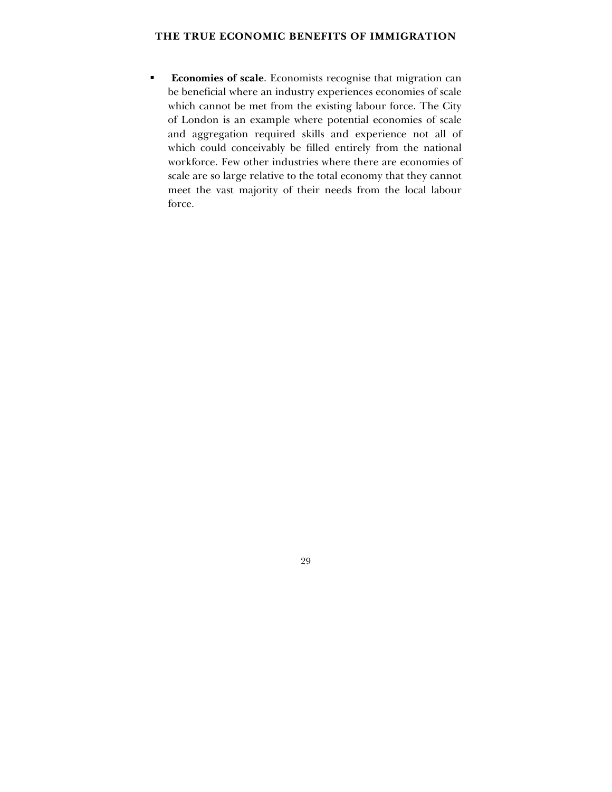# **THE TRUE ECONOMIC BENEFITS OF IMMIGRATION**

! **Economies of scale**. Economists recognise that migration can be beneficial where an industry experiences economies of scale which cannot be met from the existing labour force. The City of London is an example where potential economies of scale and aggregation required skills and experience not all of which could conceivably be filled entirely from the national workforce. Few other industries where there are economies of scale are so large relative to the total economy that they cannot meet the vast majority of their needs from the local labour force.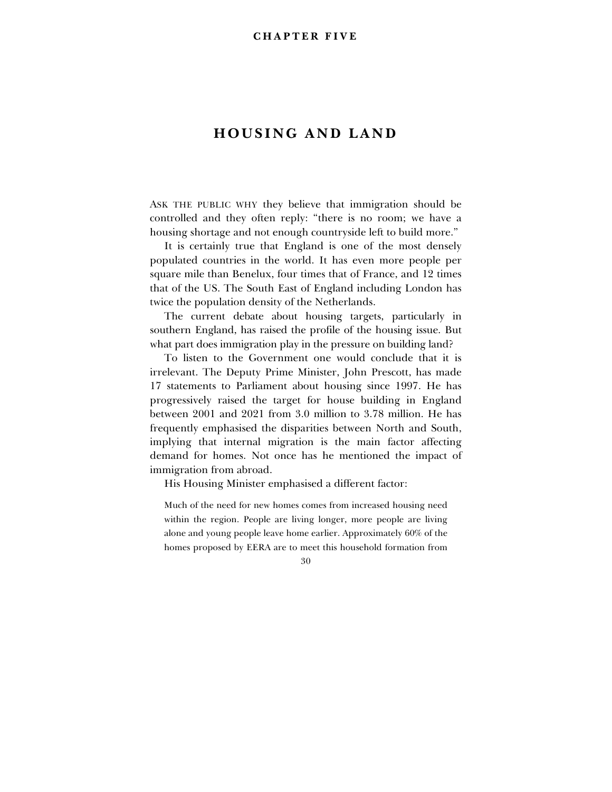# **HOUSING AND LAND**

ASK THE PUBLIC WHY they believe that immigration should be controlled and they often reply: "there is no room; we have a housing shortage and not enough countryside left to build more."

It is certainly true that England is one of the most densely populated countries in the world. It has even more people per square mile than Benelux, four times that of France, and 12 times that of the US. The South East of England including London has twice the population density of the Netherlands.

The current debate about housing targets, particularly in southern England, has raised the profile of the housing issue. But what part does immigration play in the pressure on building land?

To listen to the Government one would conclude that it is irrelevant. The Deputy Prime Minister, John Prescott, has made 17 statements to Parliament about housing since 1997. He has progressively raised the target for house building in England between 2001 and 2021 from 3.0 million to 3.78 million. He has frequently emphasised the disparities between North and South, implying that internal migration is the main factor affecting demand for homes. Not once has he mentioned the impact of immigration from abroad.

His Housing Minister emphasised a different factor:

Much of the need for new homes comes from increased housing need within the region. People are living longer, more people are living alone and young people leave home earlier. Approximately 60% of the homes proposed by EERA are to meet this household formation from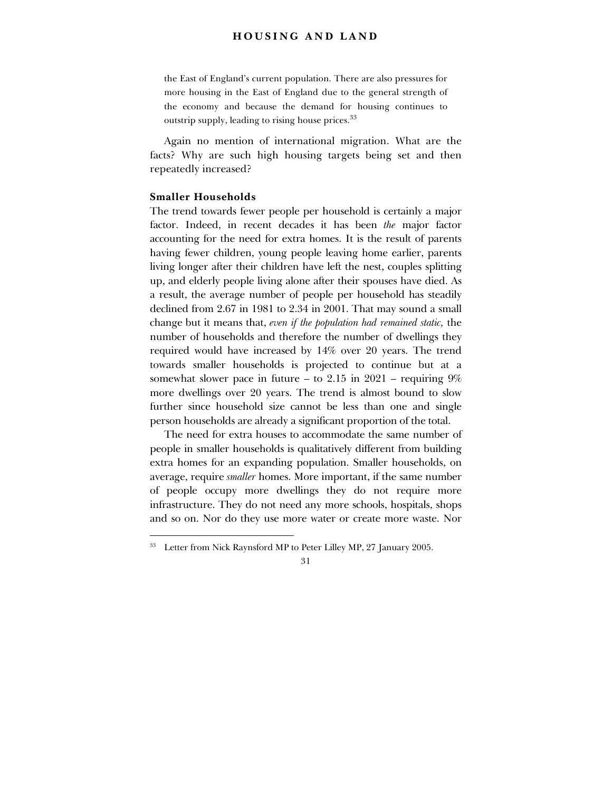# **HOUSING AND LAND**

the East of England's current population. There are also pressures for more housing in the East of England due to the general strength of the economy and because the demand for housing continues to outstrip supply, leading to rising house prices.<sup>33</sup>

Again no mention of international migration. What are the facts? Why are such high housing targets being set and then repeatedly increased?

# **Smaller Households**

-

The trend towards fewer people per household is certainly a major factor. Indeed, in recent decades it has been *the* major factor accounting for the need for extra homes. It is the result of parents having fewer children, young people leaving home earlier, parents living longer after their children have left the nest, couples splitting up, and elderly people living alone after their spouses have died. As a result, the average number of people per household has steadily declined from 2.67 in 1981 to 2.34 in 2001. That may sound a small change but it means that, *even if the population had remained static,* the number of households and therefore the number of dwellings they required would have increased by 14% over 20 years. The trend towards smaller households is projected to continue but at a somewhat slower pace in future  $-$  to 2.15 in 2021  $-$  requiring 9% more dwellings over 20 years. The trend is almost bound to slow further since household size cannot be less than one and single person households are already a significant proportion of the total.

The need for extra houses to accommodate the same number of people in smaller households is qualitatively different from building extra homes for an expanding population. Smaller households, on average, require *smaller* homes. More important, if the same number of people occupy more dwellings they do not require more infrastructure. They do not need any more schools, hospitals, shops and so on. Nor do they use more water or create more waste. Nor

<sup>&</sup>lt;sup>33</sup> Letter from Nick Raynsford MP to Peter Lilley MP, 27 January 2005.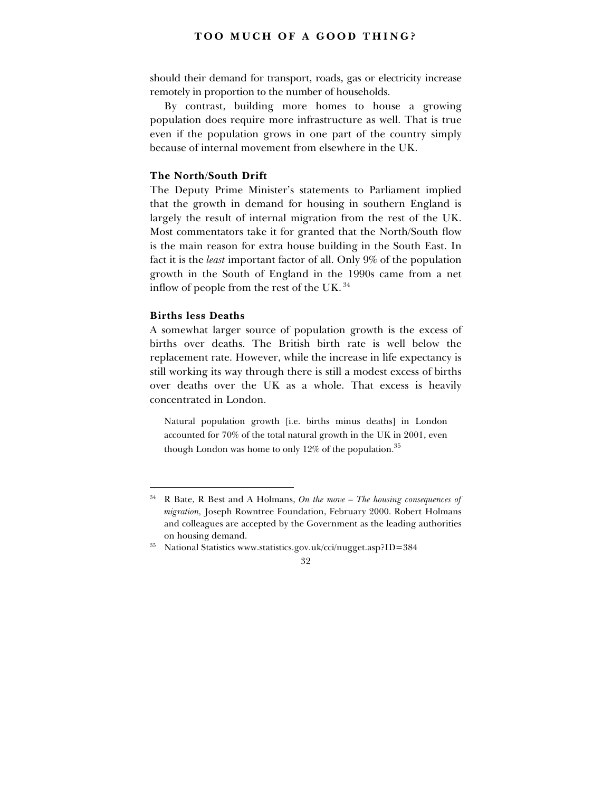should their demand for transport, roads, gas or electricity increase remotely in proportion to the number of households.

By contrast, building more homes to house a growing population does require more infrastructure as well. That is true even if the population grows in one part of the country simply because of internal movement from elsewhere in the UK.

#### **The North/South Drift**

The Deputy Prime Minister's statements to Parliament implied that the growth in demand for housing in southern England is largely the result of internal migration from the rest of the UK. Most commentators take it for granted that the North/South flow is the main reason for extra house building in the South East. In fact it is the *least* important factor of all. Only 9% of the population growth in the South of England in the 1990s came from a net inflow of people from the rest of the UK. 34

#### **Births less Deaths**

-

A somewhat larger source of population growth is the excess of births over deaths. The British birth rate is well below the replacement rate. However, while the increase in life expectancy is still working its way through there is still a modest excess of births over deaths over the UK as a whole. That excess is heavily concentrated in London.

Natural population growth [i.e. births minus deaths] in London accounted for 70% of the total natural growth in the UK in 2001, even though London was home to only 12% of the population.<sup>35</sup>

 $34$  R Bate, R Best and A Holmans, On the move  $-$  The housing consequences of *migration,* Joseph Rowntree Foundation, February 2000. Robert Holmans and colleagues are accepted by the Government as the leading authorities on housing demand.

<sup>35</sup> National Statistics www.statistics.gov.uk/cci/nugget.asp?ID=384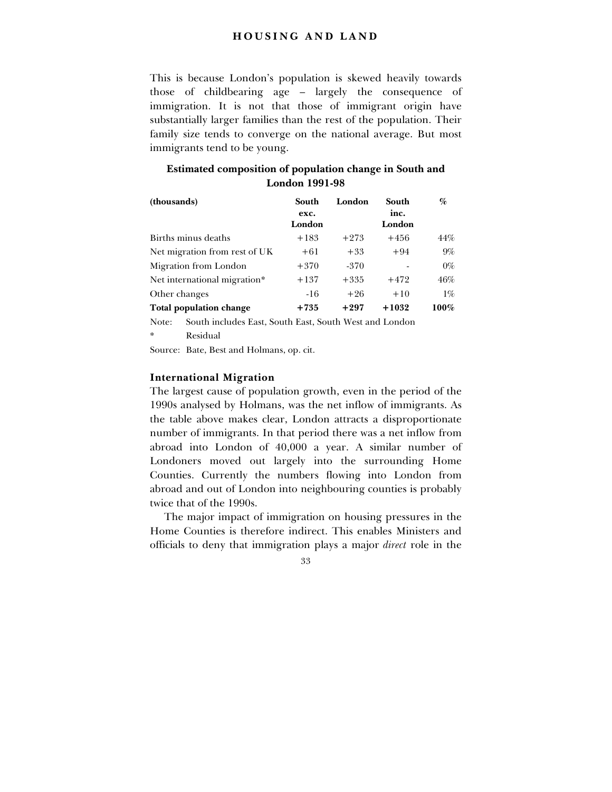# **HOUSING AND LAND**

This is because London's population is skewed heavily towards those of childbearing age  $-$  largely the consequence of immigration. It is not that those of immigrant origin have substantially larger families than the rest of the population. Their family size tends to converge on the national average. But most immigrants tend to be young.

| (thousands)                    | South<br>exc.<br>London | London | South<br>inc.<br>London | %     |
|--------------------------------|-------------------------|--------|-------------------------|-------|
| Births minus deaths            | $+183$                  | $+273$ | $+456$                  | 44%   |
| Net migration from rest of UK  | $+61$                   | $+33$  | $+94$                   | $9\%$ |
| Migration from London          | $+370$                  | $-370$ |                         | $0\%$ |
| Net international migration*   | $+137$                  | $+335$ | $+472$                  | 46%   |
| Other changes                  | $-16$                   | $+26$  | $+10$                   | $1\%$ |
| <b>Total population change</b> | $+735$                  | $+297$ | $+1032$                 | 100%  |

# **Estimated composition of population change in South and London 1991-98**

Note: South includes East, South East, South West and London **Residual** 

Source: Bate, Best and Holmans, op. cit.

# **International Migration**

The largest cause of population growth, even in the period of the 1990s analysed by Holmans, was the net inflow of immigrants. As the table above makes clear, London attracts a disproportionate number of immigrants. In that period there was a net inflow from abroad into London of 40,000 a year. A similar number of Londoners moved out largely into the surrounding Home Counties. Currently the numbers flowing into London from abroad and out of London into neighbouring counties is probably twice that of the 1990s.

The major impact of immigration on housing pressures in the Home Counties is therefore indirect. This enables Ministers and officials to deny that immigration plays a major *direct* role in the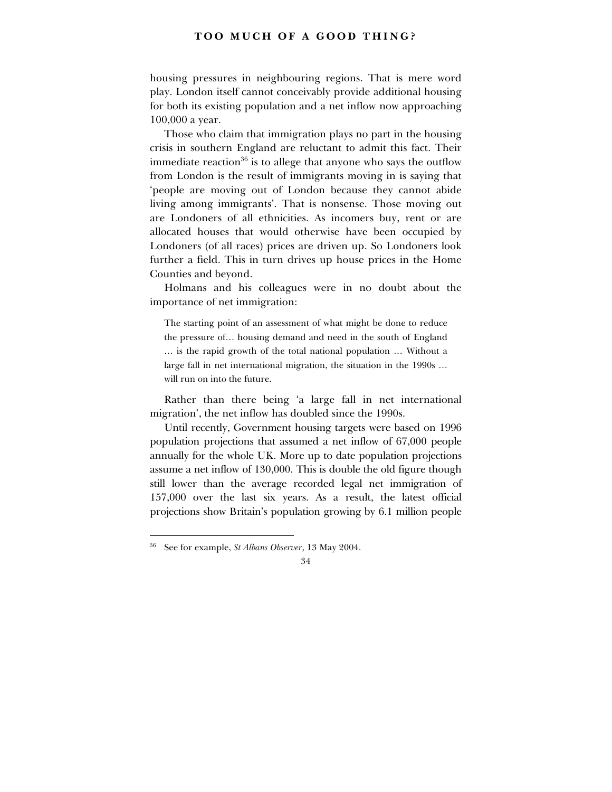housing pressures in neighbouring regions. That is mere word play. London itself cannot conceivably provide additional housing for both its existing population and a net inflow now approaching 100,000 a year.

Those who claim that immigration plays no part in the housing crisis in southern England are reluctant to admit this fact. Their immediate reaction $36$  is to allege that anyone who says the outflow from London is the result of immigrants moving in is saying that ëpeople are moving out of London because they cannot abide living among immigrants'. That is nonsense. Those moving out are Londoners of all ethnicities. As incomers buy, rent or are allocated houses that would otherwise have been occupied by Londoners (of all races) prices are driven up. So Londoners look further a field. This in turn drives up house prices in the Home Counties and beyond.

Holmans and his colleagues were in no doubt about the importance of net immigration:

The starting point of an assessment of what might be done to reduce the pressure of... housing demand and need in the south of England ... is the rapid growth of the total national population ... Without a large fall in net international migration, the situation in the  $1990s...$ will run on into the future.

Rather than there being ëa large fall in net international migration', the net inflow has doubled since the 1990s.

Until recently, Government housing targets were based on 1996 population projections that assumed a net inflow of 67,000 people annually for the whole UK. More up to date population projections assume a net inflow of 130,000. This is double the old figure though still lower than the average recorded legal net immigration of 157,000 over the last six years. As a result, the latest official projections show Britainís population growing by 6.1 million people

<sup>36</sup> See for example, *St Albans Observer*, 13 May 2004.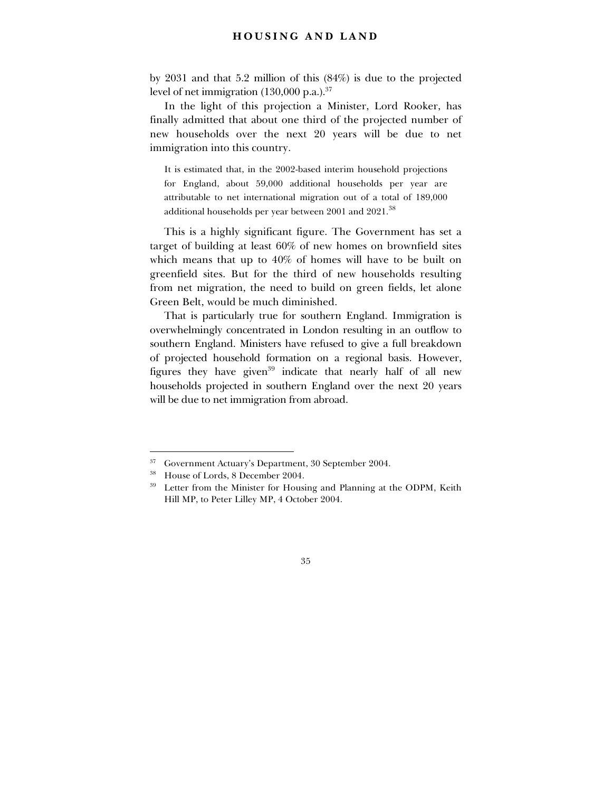# **HOUSING AND LAND**

by 2031 and that 5.2 million of this (84%) is due to the projected level of net immigration  $(130,000 \text{ p.a.})^{37}$ 

In the light of this projection a Minister, Lord Rooker, has finally admitted that about one third of the projected number of new households over the next 20 years will be due to net immigration into this country.

It is estimated that, in the 2002-based interim household projections for England, about 59,000 additional households per year are attributable to net international migration out of a total of 189,000 additional households per year between 2001 and 2021.<sup>38</sup>

This is a highly significant figure. The Government has set a target of building at least 60% of new homes on brownfield sites which means that up to 40% of homes will have to be built on greenfield sites. But for the third of new households resulting from net migration, the need to build on green fields, let alone Green Belt, would be much diminished.

That is particularly true for southern England. Immigration is overwhelmingly concentrated in London resulting in an outflow to southern England. Ministers have refused to give a full breakdown of projected household formation on a regional basis. However, figures they have given<sup>39</sup> indicate that nearly half of all new households projected in southern England over the next 20 years will be due to net immigration from abroad.

<sup>&</sup>lt;sup>37</sup> Government Actuary's Department, 30 September 2004.

<sup>38</sup> House of Lords, 8 December 2004.

<sup>&</sup>lt;sup>39</sup> Letter from the Minister for Housing and Planning at the ODPM, Keith Hill MP, to Peter Lilley MP, 4 October 2004.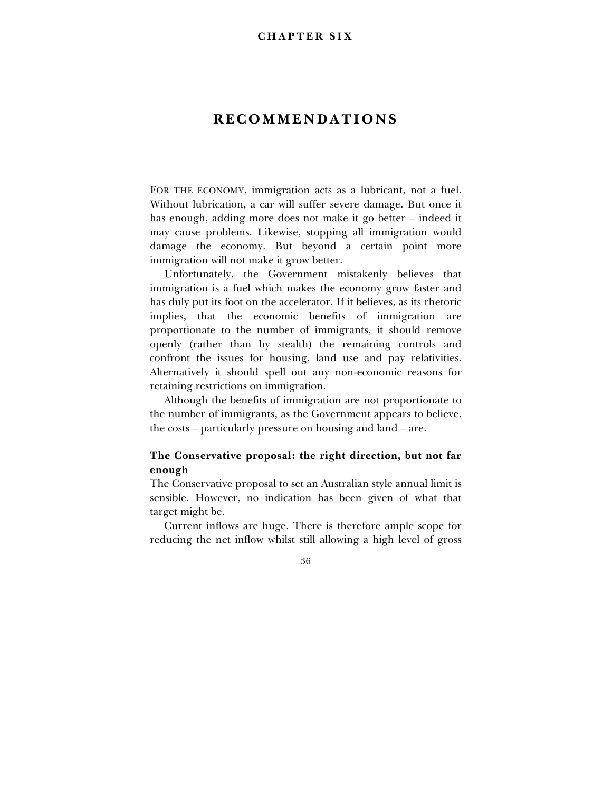# **RECOMMENDATIONS**

FOR THE ECONOMY, immigration acts as a lubricant, not a fuel. Without lubrication, a car will suffer severe damage. But once it has enough, adding more does not make it go better – indeed it may cause problems. Likewise, stopping all immigration would damage the economy. But beyond a certain point more immigration will not make it grow better.

Unfortunately, the Government mistakenly believes that immigration is a fuel which makes the economy grow faster and has duly put its foot on the accelerator. If it believes, as its rhetoric implies, that the economic benefits of immigration are proportionate to the number of immigrants, it should remove openly (rather than by stealth) the remaining controls and confront the issues for housing, land use and pay relativities. Alternatively it should spell out any non-economic reasons for retaining restrictions on immigration.

Although the benefits of immigration are not proportionate to the number of immigrants, as the Government appears to believe, the costs – particularly pressure on housing and land – are.

# **The Conservative proposal: the right direction, but not far enough**

The Conservative proposal to set an Australian style annual limit is sensible. However, no indication has been given of what that target might be.

Current inflows are huge. There is therefore ample scope for reducing the net inflow whilst still allowing a high level of gross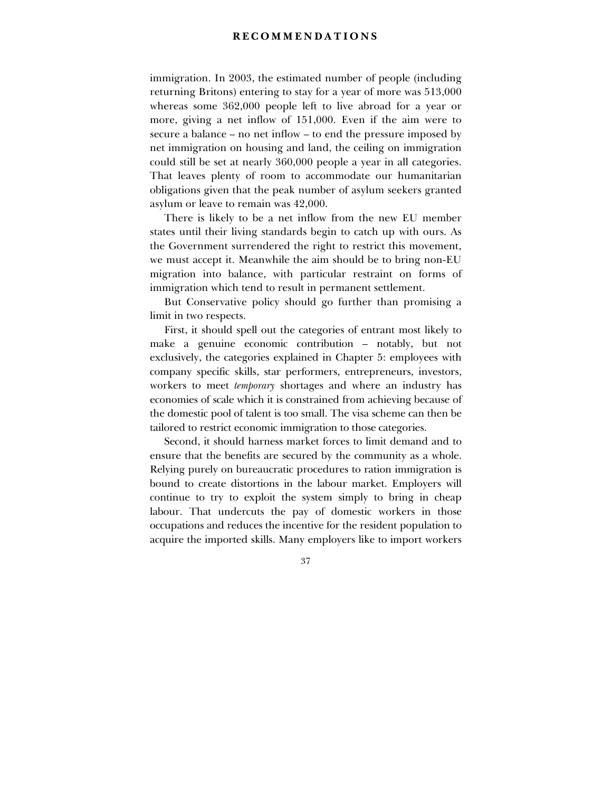# **RECOMMENDATIONS**

immigration. In 2003, the estimated number of people (including returning Britons) entering to stay for a year of more was 513,000 whereas some 362,000 people left to live abroad for a year or more, giving a net inflow of 151,000. Even if the aim were to secure a balance  $-$  no net inflow  $-$  to end the pressure imposed by net immigration on housing and land, the ceiling on immigration could still be set at nearly 360,000 people a year in all categories. That leaves plenty of room to accommodate our humanitarian obligations given that the peak number of asylum seekers granted asylum or leave to remain was 42,000.

There is likely to be a net inflow from the new EU member states until their living standards begin to catch up with ours. As the Government surrendered the right to restrict this movement, we must accept it. Meanwhile the aim should be to bring non-EU migration into balance, with particular restraint on forms of immigration which tend to result in permanent settlement.

But Conservative policy should go further than promising a limit in two respects.

First, it should spell out the categories of entrant most likely to make a genuine economic contribution  $-$  notably, but not exclusively, the categories explained in Chapter 5: employees with company specific skills, star performers, entrepreneurs, investors, workers to meet *temporary* shortages and where an industry has economies of scale which it is constrained from achieving because of the domestic pool of talent is too small. The visa scheme can then be tailored to restrict economic immigration to those categories.

Second, it should harness market forces to limit demand and to ensure that the benefits are secured by the community as a whole. Relying purely on bureaucratic procedures to ration immigration is bound to create distortions in the labour market. Employers will continue to try to exploit the system simply to bring in cheap labour. That undercuts the pay of domestic workers in those occupations and reduces the incentive for the resident population to acquire the imported skills. Many employers like to import workers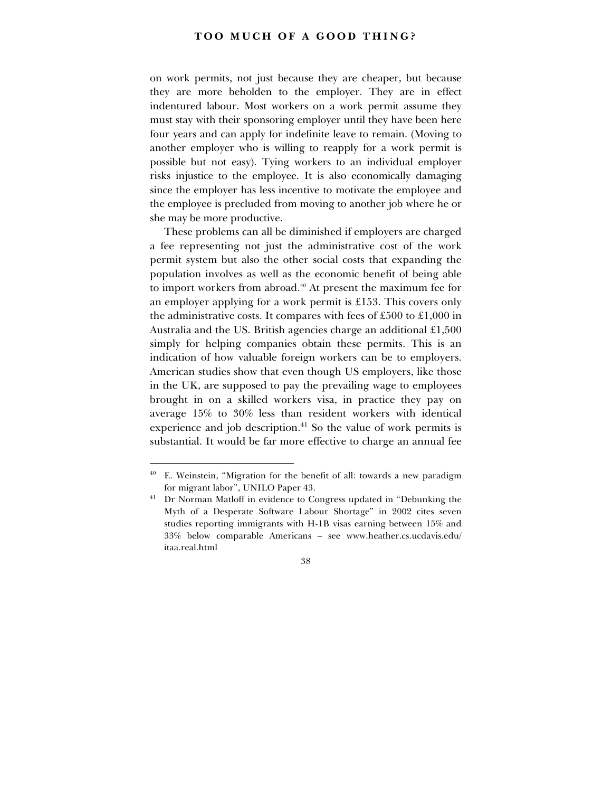on work permits, not just because they are cheaper, but because they are more beholden to the employer. They are in effect indentured labour. Most workers on a work permit assume they must stay with their sponsoring employer until they have been here four years and can apply for indefinite leave to remain. (Moving to another employer who is willing to reapply for a work permit is possible but not easy). Tying workers to an individual employer risks injustice to the employee. It is also economically damaging since the employer has less incentive to motivate the employee and the employee is precluded from moving to another job where he or she may be more productive.

These problems can all be diminished if employers are charged a fee representing not just the administrative cost of the work permit system but also the other social costs that expanding the population involves as well as the economic benefit of being able to import workers from abroad.40 At present the maximum fee for an employer applying for a work permit is £153. This covers only the administrative costs. It compares with fees of £500 to £1,000 in Australia and the US. British agencies charge an additional £1,500 simply for helping companies obtain these permits. This is an indication of how valuable foreign workers can be to employers. American studies show that even though US employers, like those in the UK, are supposed to pay the prevailing wage to employees brought in on a skilled workers visa, in practice they pay on average 15% to 30% less than resident workers with identical experience and job description.<sup>41</sup> So the value of work permits is substantial. It would be far more effective to charge an annual fee

 $40$  E. Weinstein, "Migration for the benefit of all: towards a new paradigm for migrant labor", UNILO Paper 43.

<sup>&</sup>lt;sup>41</sup> Dr Norman Matloff in evidence to Congress updated in "Debunking the Myth of a Desperate Software Labour Shortage" in 2002 cites seven studies reporting immigrants with H-1B visas earning between 15% and 33% below comparable Americans - see www.heather.cs.ucdavis.edu/ itaa.real.html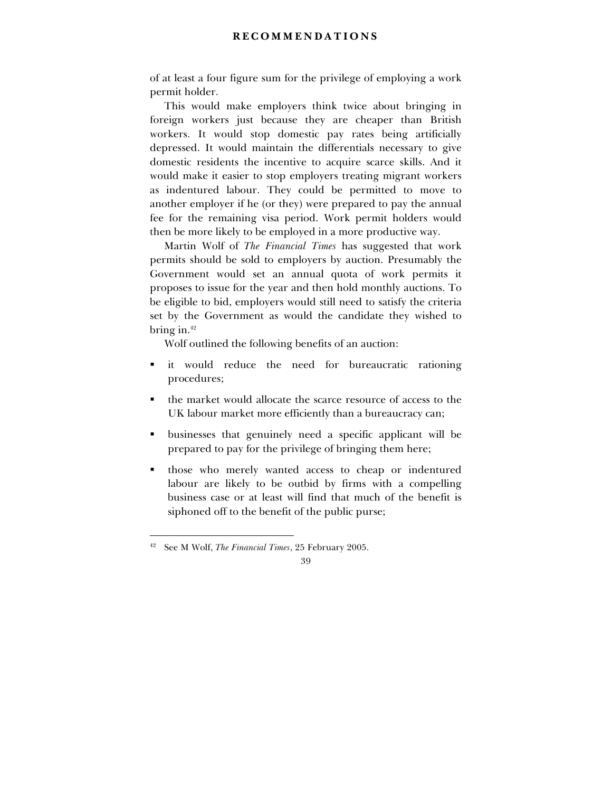# **RECOMMENDATIONS**

of at least a four figure sum for the privilege of employing a work permit holder.

This would make employers think twice about bringing in foreign workers just because they are cheaper than British workers. It would stop domestic pay rates being artificially depressed. It would maintain the differentials necessary to give domestic residents the incentive to acquire scarce skills. And it would make it easier to stop employers treating migrant workers as indentured labour. They could be permitted to move to another employer if he (or they) were prepared to pay the annual fee for the remaining visa period. Work permit holders would then be more likely to be employed in a more productive way.

Martin Wolf of *The Financial Times* has suggested that work permits should be sold to employers by auction. Presumably the Government would set an annual quota of work permits it proposes to issue for the year and then hold monthly auctions. To be eligible to bid, employers would still need to satisfy the criteria set by the Government as would the candidate they wished to bring in. $42$ 

Wolf outlined the following benefits of an auction:

- ! it would reduce the need for bureaucratic rationing procedures;
- ! the market would allocate the scarce resource of access to the UK labour market more efficiently than a bureaucracy can;
- ! businesses that genuinely need a specific applicant will be prepared to pay for the privilege of bringing them here;
- ! those who merely wanted access to cheap or indentured labour are likely to be outbid by firms with a compelling business case or at least will find that much of the benefit is siphoned off to the benefit of the public purse;

<sup>42</sup> See M Wolf, *The Financial Times*, 25 February 2005.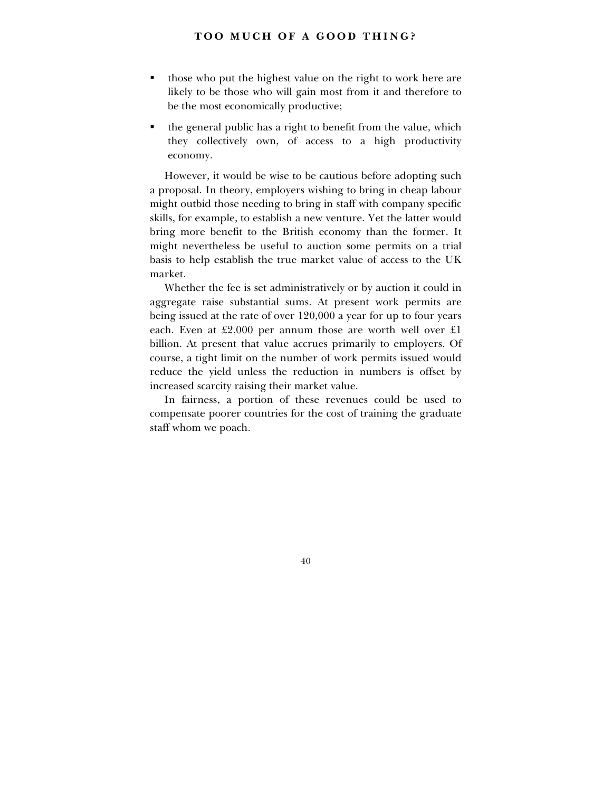- those who put the highest value on the right to work here are likely to be those who will gain most from it and therefore to be the most economically productive;
- ! the general public has a right to benefit from the value, which they collectively own, of access to a high productivity economy.

However, it would be wise to be cautious before adopting such a proposal. In theory, employers wishing to bring in cheap labour might outbid those needing to bring in staff with company specific skills, for example, to establish a new venture. Yet the latter would bring more benefit to the British economy than the former. It might nevertheless be useful to auction some permits on a trial basis to help establish the true market value of access to the UK market.

Whether the fee is set administratively or by auction it could in aggregate raise substantial sums. At present work permits are being issued at the rate of over 120,000 a year for up to four years each. Even at £2,000 per annum those are worth well over £1 billion. At present that value accrues primarily to employers. Of course, a tight limit on the number of work permits issued would reduce the yield unless the reduction in numbers is offset by increased scarcity raising their market value.

In fairness, a portion of these revenues could be used to compensate poorer countries for the cost of training the graduate staff whom we poach.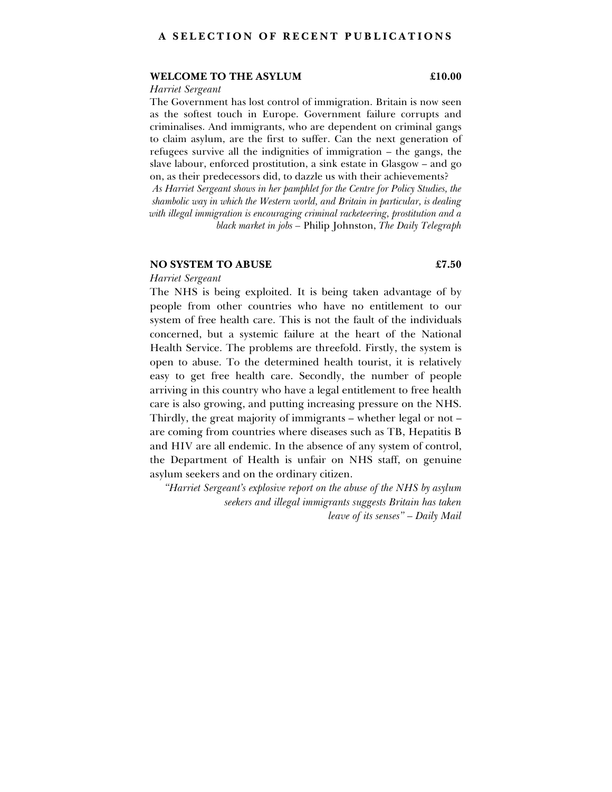#### **WELCOME TO THE ASYLUM £10.00**

#### *Harriet Sergeant*

The Government has lost control of immigration. Britain is now seen as the softest touch in Europe. Government failure corrupts and criminalises. And immigrants, who are dependent on criminal gangs to claim asylum, are the first to suffer. Can the next generation of refugees survive all the indignities of immigration  $-$  the gangs, the slave labour, enforced prostitution, a sink estate in Glasgow – and go on, as their predecessors did, to dazzle us with their achievements? *As Harriet Sergeant shows in her pamphlet for the Centre for Policy Studies, the shambolic way in which the Western world, and Britain in particular, is dealing with illegal immigration is encouraging criminal racketeering, prostitution and a black market in jobs – Philip Johnston, The Daily Telegraph* 

#### **NO SYSTEM TO ABUSE**  $\qquad \qquad \text{\&} 7.50$

# *Harriet Sergeant*

The NHS is being exploited. It is being taken advantage of by people from other countries who have no entitlement to our system of free health care. This is not the fault of the individuals concerned, but a systemic failure at the heart of the National Health Service. The problems are threefold. Firstly, the system is open to abuse. To the determined health tourist, it is relatively easy to get free health care. Secondly, the number of people arriving in this country who have a legal entitlement to free health care is also growing, and putting increasing pressure on the NHS. Thirdly, the great majority of immigrants  $-$  whether legal or not  $$ are coming from countries where diseases such as TB, Hepatitis B and HIV are all endemic. In the absence of any system of control, the Department of Health is unfair on NHS staff, on genuine asylum seekers and on the ordinary citizen.

*ìHarriet Sergeantís explosive report on the abuse of the NHS by asylum seekers and illegal immigrants suggests Britain has taken leave of its senses*" - Daily Mail